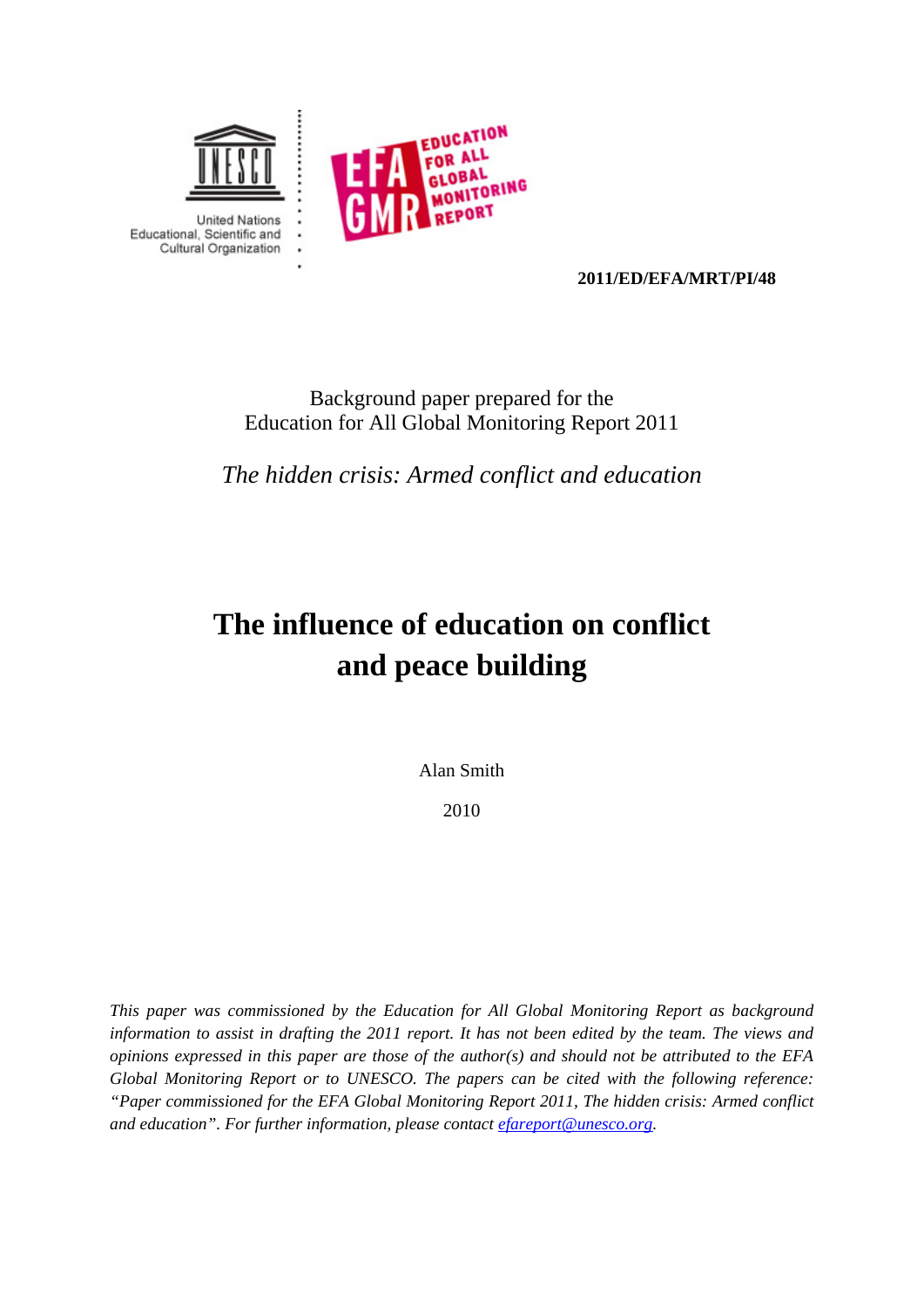



**2011/ED/EFA/MRT/PI/48** 

## Background paper prepared for the Education for All Global Monitoring Report 2011

*The hidden crisis: Armed conflict and education* 

# **The influence of education on conflict and peace building**

Alan Smith

2010

*This paper was commissioned by the Education for All Global Monitoring Report as background information to assist in drafting the 2011 report. It has not been edited by the team. The views and opinions expressed in this paper are those of the author(s) and should not be attributed to the EFA Global Monitoring Report or to UNESCO. The papers can be cited with the following reference: "Paper commissioned for the EFA Global Monitoring Report 2011, The hidden crisis: Armed conflict and education". For further information, please contact efareport@unesco.org.*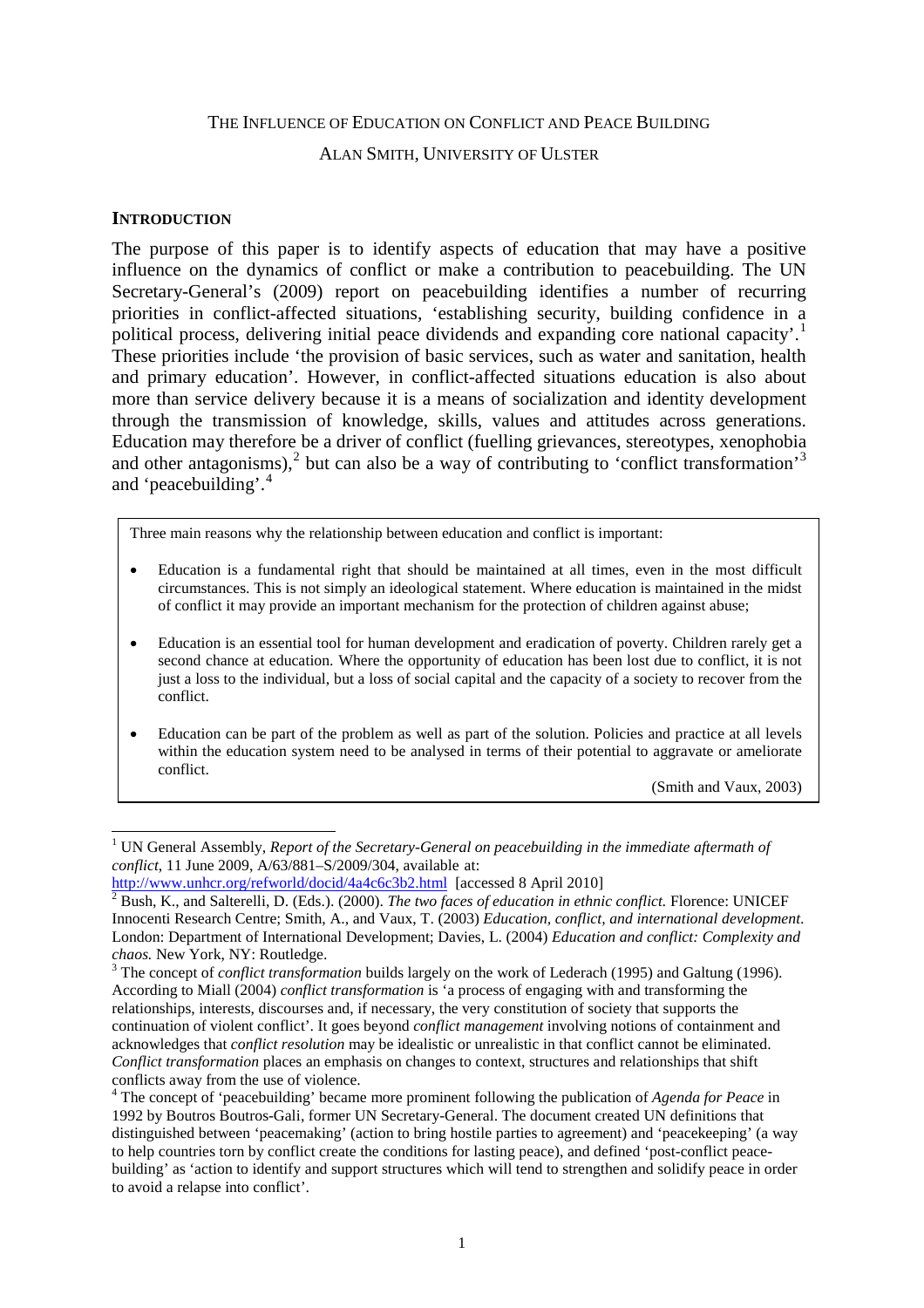#### THE INFLUENCE OF EDUCATION ON CONFLICT AND PEACE BUILDING

## ALAN SMITH, UNIVERSITY OF ULSTER

#### **INTRODUCTION**

The purpose of this paper is to identify aspects of education that may have a positive influence on the dynamics of conflict or make a contribution to peacebuilding. The UN Secretary-General's (2009) report on peacebuilding identifies a number of recurring priorities in conflict-affected situations, 'establishing security, building confidence in a political process, delivering initial peace dividends and expanding core national capacity'.<sup>[1](#page-1-0)</sup> These priorities include 'the provision of basic services, such as water and sanitation, health and primary education'. However, in conflict-affected situations education is also about more than service delivery because it is a means of socialization and identity development through the transmission of knowledge, skills, values and attitudes across generations. Education may therefore be a driver of conflict (fuelling grievances, stereotypes, xenophobia and other antagonisms), $2$  but can also be a way of contributing to 'conflict transformation'<sup>[3](#page-1-2)</sup> and 'peacebuilding'.<sup>[4](#page-1-3)</sup>

Three main reasons why the relationship between education and conflict is important:

- Education is a fundamental right that should be maintained at all times, even in the most difficult circumstances. This is not simply an ideological statement. Where education is maintained in the midst of conflict it may provide an important mechanism for the protection of children against abuse;
- Education is an essential tool for human development and eradication of poverty. Children rarely get a second chance at education. Where the opportunity of education has been lost due to conflict, it is not just a loss to the individual, but a loss of social capital and the capacity of a society to recover from the conflict.
- Education can be part of the problem as well as part of the solution. Policies and practice at all levels within the education system need to be analysed in terms of their potential to aggravate or ameliorate conflict.

(Smith and Vaux, 2003)

<span id="page-1-0"></span><sup>&</sup>lt;sup>1</sup> UN General Assembly, *Report of the Secretary-General on peacebuilding in the immediate aftermath of conflict*, 11 June 2009, A/63/881–S/2009/304, available at: <http://www.unhcr.org/refworld/docid/4a4c6c3b2.html> [accessed 8 April 2010] <sup>2</sup> Bush, K., and Salterelli, D. (Eds.). (2000). *The two faces of education in ethnic conflict.* Florence: UNICEF

<span id="page-1-1"></span>Innocenti Research Centre; Smith, A., and Vaux, T. (2003) *Education, conflict, and international development*. London: Department of International Development; Davies, L. (2004) *Education and conflict: Complexity and chaos.* New York, NY: Routledge.<br><sup>3</sup> The concept of *conflict transformation* builds largely on the work of Lederach (1995) and Galtung (1996).

<span id="page-1-2"></span>According to Miall (2004) *conflict transformation* is 'a process of engaging with and transforming the relationships, interests, discourses and, if necessary, the very constitution of society that supports the continuation of violent conflict'. It goes beyond *conflict management* involving notions of containment and acknowledges that *conflict resolution* may be idealistic or unrealistic in that conflict cannot be eliminated. *Conflict transformation* places an emphasis on changes to context, structures and relationships that shift conflicts away from the use of violence.

<span id="page-1-3"></span><sup>4</sup> The concept of 'peacebuilding' became more prominent following the publication of *Agenda for Peace* in 1992 by Boutros Boutros-Gali, former UN Secretary-General. The document created UN definitions that distinguished between 'peacemaking' (action to bring hostile parties to agreement) and 'peacekeeping' (a way to help countries torn by conflict create the conditions for lasting peace), and defined 'post-conflict peacebuilding' as 'action to identify and support structures which will tend to strengthen and solidify peace in order to avoid a relapse into conflict'.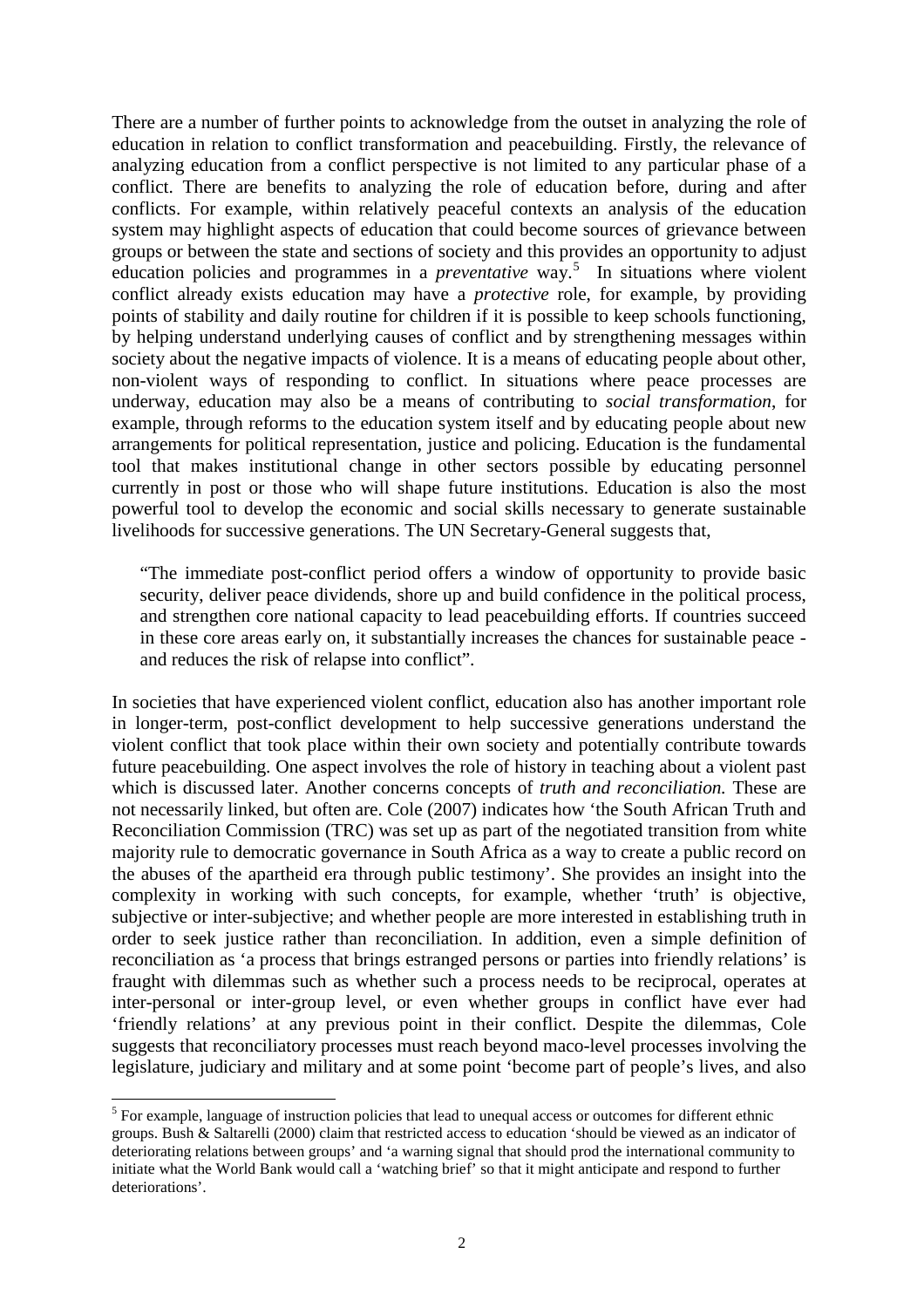There are a number of further points to acknowledge from the outset in analyzing the role of education in relation to conflict transformation and peacebuilding. Firstly, the relevance of analyzing education from a conflict perspective is not limited to any particular phase of a conflict. There are benefits to analyzing the role of education before, during and after conflicts. For example, within relatively peaceful contexts an analysis of the education system may highlight aspects of education that could become sources of grievance between groups or between the state and sections of society and this provides an opportunity to adjust education policies and programmes in a *preventative* way.<sup>[5](#page-2-0)</sup> In situations where violent conflict already exists education may have a *protective* role, for example, by providing points of stability and daily routine for children if it is possible to keep schools functioning, by helping understand underlying causes of conflict and by strengthening messages within society about the negative impacts of violence. It is a means of educating people about other, non-violent ways of responding to conflict. In situations where peace processes are underway, education may also be a means of contributing to *social transformation*, for example, through reforms to the education system itself and by educating people about new arrangements for political representation, justice and policing. Education is the fundamental tool that makes institutional change in other sectors possible by educating personnel currently in post or those who will shape future institutions. Education is also the most powerful tool to develop the economic and social skills necessary to generate sustainable livelihoods for successive generations. The UN Secretary-General suggests that,

"The immediate post-conflict period offers a window of opportunity to provide basic security, deliver peace dividends, shore up and build confidence in the political process, and strengthen core national capacity to lead peacebuilding efforts. If countries succeed in these core areas early on, it substantially increases the chances for sustainable peace and reduces the risk of relapse into conflict".

In societies that have experienced violent conflict, education also has another important role in longer-term, post-conflict development to help successive generations understand the violent conflict that took place within their own society and potentially contribute towards future peacebuilding. One aspect involves the role of history in teaching about a violent past which is discussed later. Another concerns concepts of *truth and reconciliation.* These are not necessarily linked, but often are. Cole (2007) indicates how 'the South African Truth and Reconciliation Commission (TRC) was set up as part of the negotiated transition from white majority rule to democratic governance in South Africa as a way to create a public record on the abuses of the apartheid era through public testimony'. She provides an insight into the complexity in working with such concepts, for example, whether 'truth' is objective, subjective or inter-subjective; and whether people are more interested in establishing truth in order to seek justice rather than reconciliation. In addition, even a simple definition of reconciliation as 'a process that brings estranged persons or parties into friendly relations' is fraught with dilemmas such as whether such a process needs to be reciprocal, operates at inter-personal or inter-group level, or even whether groups in conflict have ever had 'friendly relations' at any previous point in their conflict. Despite the dilemmas, Cole suggests that reconciliatory processes must reach beyond maco-level processes involving the legislature, judiciary and military and at some point 'become part of people's lives, and also

<span id="page-2-0"></span><sup>&</sup>lt;sup>5</sup> For example, language of instruction policies that lead to unequal access or outcomes for different ethnic groups. Bush & Saltarelli (2000) claim that restricted access to education 'should be viewed as an indicator of deteriorating relations between groups' and 'a warning signal that should prod the international community to initiate what the World Bank would call a 'watching brief' so that it might anticipate and respond to further deteriorations'.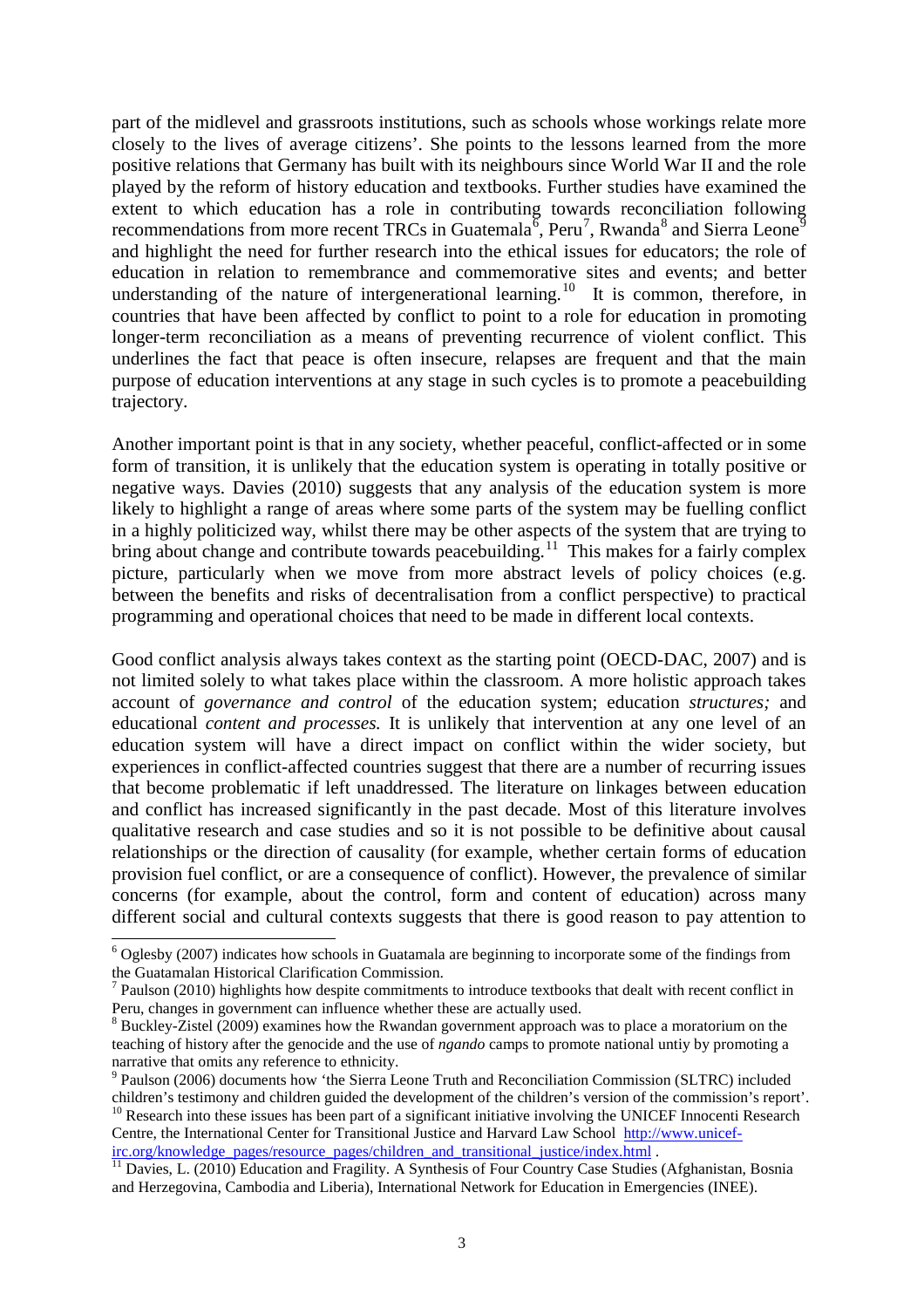part of the midlevel and grassroots institutions, such as schools whose workings relate more closely to the lives of average citizens'. She points to the lessons learned from the more positive relations that Germany has built with its neighbours since World War II and the role played by the reform of history education and textbooks. Further studies have examined the extent to which education has a role in contributing towards reconciliation following recommendations from more recent TRCs in Guatemala<sup>[6](#page-3-0)</sup>, Peru<sup>[7](#page-3-1)</sup>, Rwanda<sup>[8](#page-3-2)</sup> and Sierra Leone<sup>[9](#page-3-3)</sup> and highlight the need for further research into the ethical issues for educators; the role of education in relation to remembrance and commemorative sites and events; and better understanding of the nature of intergenerational learning.<sup>10</sup> It is common, therefore, in countries that have been affected by conflict to point to a role for education in promoting longer-term reconciliation as a means of preventing recurrence of violent conflict. This underlines the fact that peace is often insecure, relapses are frequent and that the main purpose of education interventions at any stage in such cycles is to promote a peacebuilding trajectory.

Another important point is that in any society, whether peaceful, conflict-affected or in some form of transition, it is unlikely that the education system is operating in totally positive or negative ways. Davies (2010) suggests that any analysis of the education system is more likely to highlight a range of areas where some parts of the system may be fuelling conflict in a highly politicized way, whilst there may be other aspects of the system that are trying to bring about change and contribute towards peacebuilding.<sup>[11](#page-3-5)</sup> This makes for a fairly complex picture, particularly when we move from more abstract levels of policy choices (e.g. between the benefits and risks of decentralisation from a conflict perspective) to practical programming and operational choices that need to be made in different local contexts.

Good conflict analysis always takes context as the starting point (OECD-DAC, 2007) and is not limited solely to what takes place within the classroom. A more holistic approach takes account of *governance and control* of the education system; education *structures;* and educational *content and processes.* It is unlikely that intervention at any one level of an education system will have a direct impact on conflict within the wider society, but experiences in conflict-affected countries suggest that there are a number of recurring issues that become problematic if left unaddressed. The literature on linkages between education and conflict has increased significantly in the past decade. Most of this literature involves qualitative research and case studies and so it is not possible to be definitive about causal relationships or the direction of causality (for example, whether certain forms of education provision fuel conflict, or are a consequence of conflict). However, the prevalence of similar concerns (for example, about the control, form and content of education) across many different social and cultural contexts suggests that there is good reason to pay attention to

<span id="page-3-0"></span> <sup>6</sup> Oglesby (2007) indicates how schools in Guatamala are beginning to incorporate some of the findings from the Guatamalan Historical Clarification Commission.

<span id="page-3-1"></span>Paulson (2010) highlights how despite commitments to introduce textbooks that dealt with recent conflict in Peru, changes in government can influence whether these are actually used.

<span id="page-3-2"></span> $8$  Buckley-Zistel (2009) examines how the Rwandan government approach was to place a moratorium on the teaching of history after the genocide and the use of *ngando* camps to promote national untiy by promoting a narrative that omits any reference to ethnicity.

<span id="page-3-3"></span><sup>&</sup>lt;sup>9</sup> Paulson (2006) documents how 'the Sierra Leone Truth and Reconciliation Commission (SLTRC) included

<span id="page-3-4"></span>children's testimony and children guided the development of the children's version of the commission's report'. <sup>10</sup> Research into these issues has been part of a significant initiative involving the UNICEF Innocenti Research Centre, the International Center for Transitional Justice and Harvard Law School [http://www.unicef-](http://www.unicef-irc.org/knowledge_pages/resource_pages/children_and_transitional_justice/index.html)

<span id="page-3-5"></span>irc.org/knowledge\_pages/resource\_pages/children\_and\_transitional\_justice/index.html .<br><sup>[11](http://www.unicef-irc.org/knowledge_pages/resource_pages/children_and_transitional_justice/index.html)</sup> Davies, L. (2010) Education and Fragility. A Synthesis of Four Country Case Studies (Afghanistan, Bosnia and Herzegovina, Cambodia and Liberia), International Network for Education in Emergencies (INEE).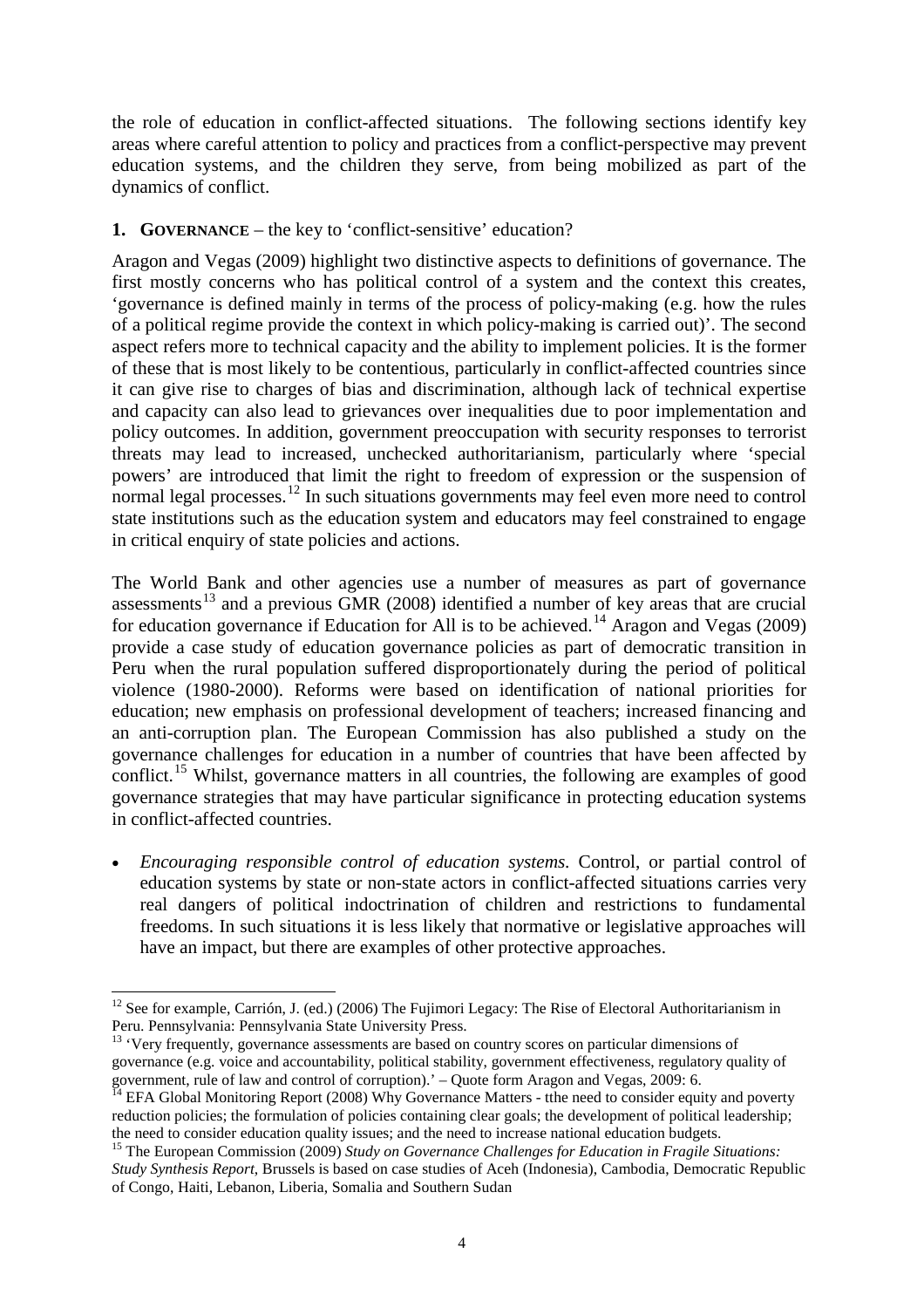the role of education in conflict-affected situations. The following sections identify key areas where careful attention to policy and practices from a conflict-perspective may prevent education systems, and the children they serve, from being mobilized as part of the dynamics of conflict.

## **1. GOVERNANCE** – the key to 'conflict-sensitive' education?

Aragon and Vegas (2009) highlight two distinctive aspects to definitions of governance. The first mostly concerns who has political control of a system and the context this creates, 'governance is defined mainly in terms of the process of policy-making (e.g. how the rules of a political regime provide the context in which policy-making is carried out)'. The second aspect refers more to technical capacity and the ability to implement policies. It is the former of these that is most likely to be contentious, particularly in conflict-affected countries since it can give rise to charges of bias and discrimination, although lack of technical expertise and capacity can also lead to grievances over inequalities due to poor implementation and policy outcomes. In addition, government preoccupation with security responses to terrorist threats may lead to increased, unchecked authoritarianism, particularly where 'special powers' are introduced that limit the right to freedom of expression or the suspension of normal legal processes.<sup>[12](#page-4-0)</sup> In such situations governments may feel even more need to control state institutions such as the education system and educators may feel constrained to engage in critical enquiry of state policies and actions.

The World Bank and other agencies use a number of measures as part of governance assessments<sup>[13](#page-4-1)</sup> and a previous GMR (2008) identified a number of key areas that are crucial for education governance if Education for All is to be achieved.<sup>[14](#page-4-2)</sup> Aragon and Vegas (2009) provide a case study of education governance policies as part of democratic transition in Peru when the rural population suffered disproportionately during the period of political violence (1980-2000). Reforms were based on identification of national priorities for education; new emphasis on professional development of teachers; increased financing and an anti-corruption plan. The European Commission has also published a study on the governance challenges for education in a number of countries that have been affected by conflict.<sup>[15](#page-4-3)</sup> Whilst, governance matters in all countries, the following are examples of good governance strategies that may have particular significance in protecting education systems in conflict-affected countries.

• *Encouraging responsible control of education systems.* Control, or partial control of education systems by state or non-state actors in conflict-affected situations carries very real dangers of political indoctrination of children and restrictions to fundamental freedoms. In such situations it is less likely that normative or legislative approaches will have an impact, but there are examples of other protective approaches.

<span id="page-4-0"></span><sup>&</sup>lt;sup>12</sup> See for example, Carrión, J. (ed.) (2006) The Fujimori Legacy: The Rise of Electoral Authoritarianism in Peru. Pennsylvania: Pennsylvania State University Press.

<span id="page-4-1"></span><sup>&</sup>lt;sup>13</sup> 'Very frequently, governance assessments are based on country scores on particular dimensions of governance (e.g. voice and accountability, political stability, government effectiveness, regulatory quality of government, rule of law and control of corruption).' – Quote form Aragon and Vegas, 2009: 6.<br><sup>14</sup> EFA Global Monitoring Report (2008) Why Governance Matters - tthe need to consider equity and poverty

<span id="page-4-2"></span>reduction policies; the formulation of policies containing clear goals; the development of political leadership; the need to consider education quality issues; and the need to increase national education budgets.

<span id="page-4-3"></span><sup>15</sup> The European Commission (2009) *Study on Governance Challenges for Education in Fragile Situations: Study Synthesis Report*, Brussels is based on case studies of Aceh (Indonesia), Cambodia, Democratic Republic of Congo, Haiti, Lebanon, Liberia, Somalia and Southern Sudan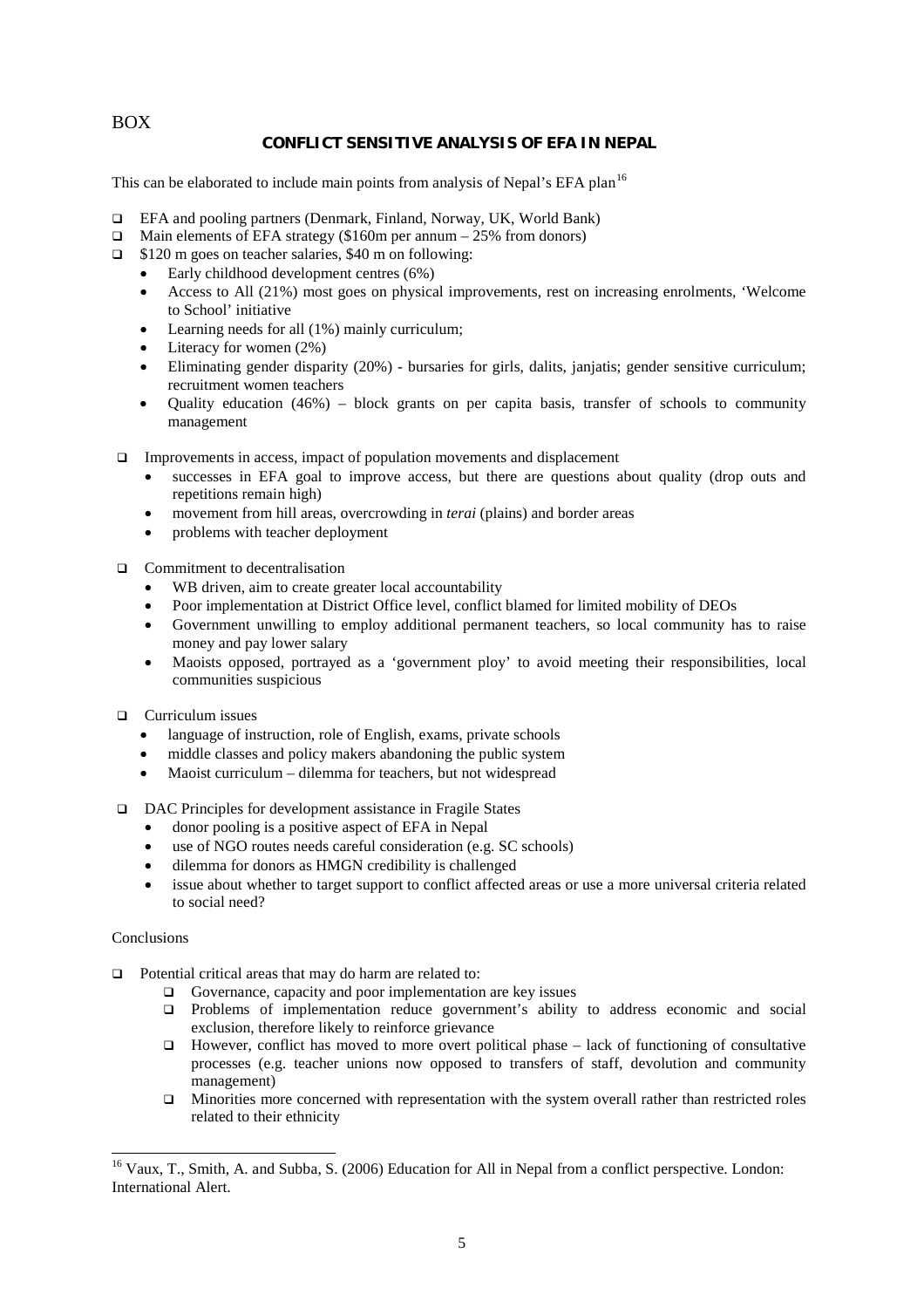BOX

#### **CONFLICT SENSITIVE ANALYSIS OF EFA IN NEPAL**

This can be elaborated to include main points from analysis of Nepal's EFA plan<sup>[16](#page-5-0)</sup>

- EFA and pooling partners (Denmark, Finland, Norway, UK, World Bank)
- $\Box$  Main elements of EFA strategy (\$160m per annum 25% from donors)
- $\Box$  \$120 m goes on teacher salaries, \$40 m on following:
	- Early childhood development centres (6%)
	- Access to All (21%) most goes on physical improvements, rest on increasing enrolments, 'Welcome to School' initiative
	- Learning needs for all (1%) mainly curriculum;
	- Literacy for women (2%)
	- Eliminating gender disparity (20%) bursaries for girls, dalits, janjatis; gender sensitive curriculum; recruitment women teachers
	- Quality education (46%) block grants on per capita basis, transfer of schools to community management
- $\Box$  Improvements in access, impact of population movements and displacement
	- successes in EFA goal to improve access, but there are questions about quality (drop outs and repetitions remain high)
	- movement from hill areas, overcrowding in *terai* (plains) and border areas
	- problems with teacher deployment
- $\Box$  Commitment to decentralisation
	- WB driven, aim to create greater local accountability
	- Poor implementation at District Office level, conflict blamed for limited mobility of DEOs
	- Government unwilling to employ additional permanent teachers, so local community has to raise money and pay lower salary
	- Maoists opposed, portrayed as a 'government ploy' to avoid meeting their responsibilities, local communities suspicious
- **Q** Curriculum issues
	- language of instruction, role of English, exams, private schools
	- middle classes and policy makers abandoning the public system
	- Maoist curriculum dilemma for teachers, but not widespread
- DAC Principles for development assistance in Fragile States
	- donor pooling is a positive aspect of EFA in Nepal
	- use of NGO routes needs careful consideration (e.g. SC schools)
	- dilemma for donors as HMGN credibility is challenged
	- issue about whether to target support to conflict affected areas or use a more universal criteria related to social need?

#### Conclusions

- $\Box$  Potential critical areas that may do harm are related to:
	- $\Box$  Governance, capacity and poor implementation are key issues
	- Problems of implementation reduce government's ability to address economic and social exclusion, therefore likely to reinforce grievance
	- However, conflict has moved to more overt political phase  $-$  lack of functioning of consultative processes (e.g. teacher unions now opposed to transfers of staff, devolution and community management)
	- $\Box$  Minorities more concerned with representation with the system overall rather than restricted roles related to their ethnicity

<span id="page-5-0"></span><sup>&</sup>lt;sup>16</sup> Vaux. T., Smith, A. and Subba, S. (2006) Education for All in Nepal from a conflict perspective. London: International Alert.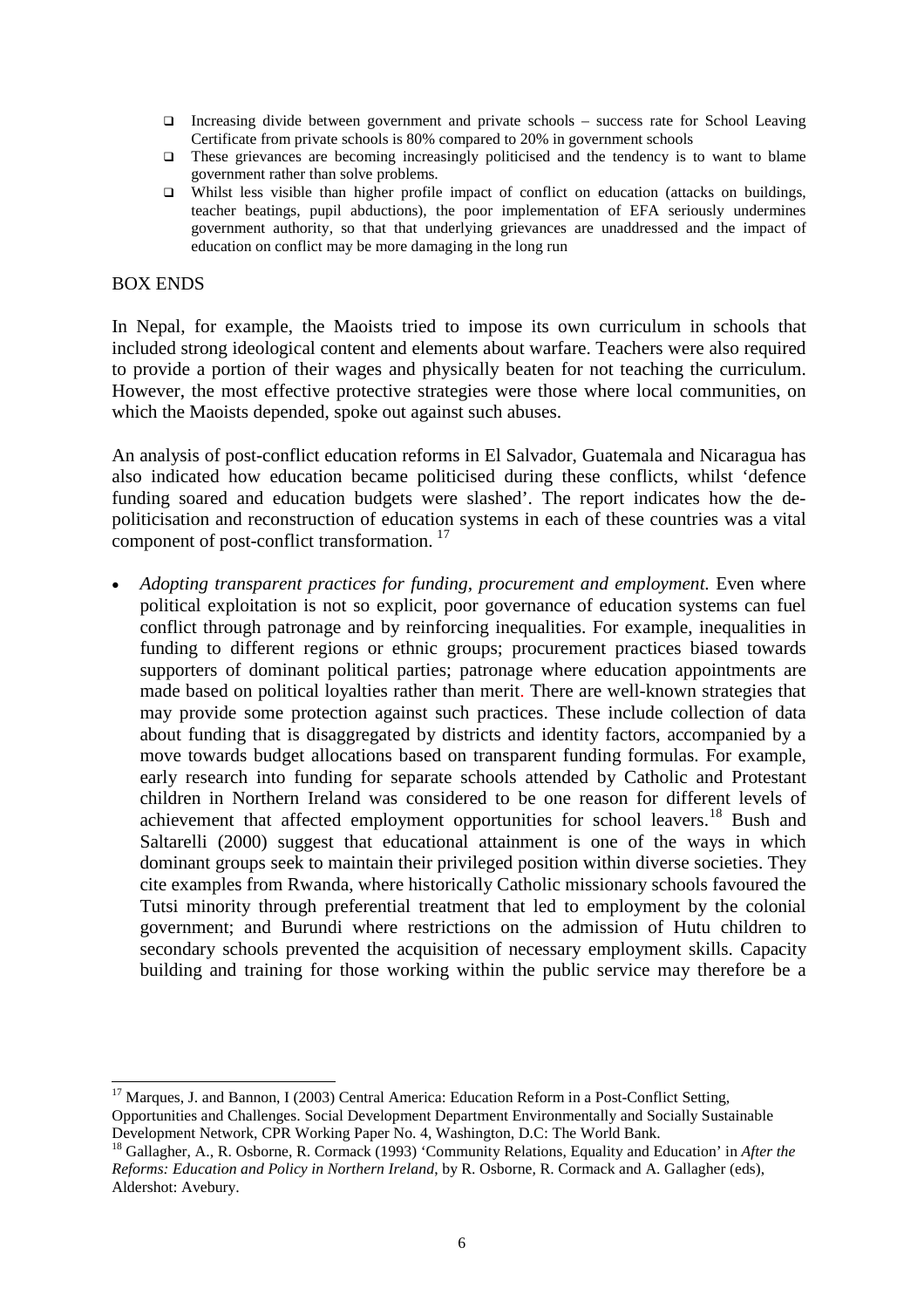- Increasing divide between government and private schools success rate for School Leaving Certificate from private schools is 80% compared to 20% in government schools
- These grievances are becoming increasingly politicised and the tendency is to want to blame government rather than solve problems.
- Whilst less visible than higher profile impact of conflict on education (attacks on buildings, teacher beatings, pupil abductions), the poor implementation of EFA seriously undermines government authority, so that that underlying grievances are unaddressed and the impact of education on conflict may be more damaging in the long run

## BOX ENDS

In Nepal, for example, the Maoists tried to impose its own curriculum in schools that included strong ideological content and elements about warfare. Teachers were also required to provide a portion of their wages and physically beaten for not teaching the curriculum. However, the most effective protective strategies were those where local communities, on which the Maoists depended, spoke out against such abuses.

An analysis of post-conflict education reforms in El Salvador, Guatemala and Nicaragua has also indicated how education became politicised during these conflicts, whilst 'defence funding soared and education budgets were slashed'. The report indicates how the depoliticisation and reconstruction of education systems in each of these countries was a vital component of post-conflict transformation. [17](#page-6-0)

• *Adopting transparent practices for funding, procurement and employment.* Even where political exploitation is not so explicit, poor governance of education systems can fuel conflict through patronage and by reinforcing inequalities. For example, inequalities in funding to different regions or ethnic groups; procurement practices biased towards supporters of dominant political parties; patronage where education appointments are made based on political loyalties rather than merit. There are well-known strategies that may provide some protection against such practices. These include collection of data about funding that is disaggregated by districts and identity factors, accompanied by a move towards budget allocations based on transparent funding formulas. For example, early research into funding for separate schools attended by Catholic and Protestant children in Northern Ireland was considered to be one reason for different levels of achievement that affected employment opportunities for school leavers.<sup>[18](#page-6-1)</sup> Bush and Saltarelli (2000) suggest that educational attainment is one of the ways in which dominant groups seek to maintain their privileged position within diverse societies. They cite examples from Rwanda, where historically Catholic missionary schools favoured the Tutsi minority through preferential treatment that led to employment by the colonial government; and Burundi where restrictions on the admission of Hutu children to secondary schools prevented the acquisition of necessary employment skills. Capacity building and training for those working within the public service may therefore be a

<span id="page-6-0"></span><sup>&</sup>lt;sup>17</sup> Marques, J. and Bannon, I (2003) Central America: Education Reform in a Post-Conflict Setting, Opportunities and Challenges. Social Development Department Environmentally and Socially Sustainable Development Network, CPR Working Paper No. 4, Washington, D.C: The World Bank.

<span id="page-6-1"></span><sup>18</sup> Gallagher, A., R. Osborne, R. Cormack (1993) 'Community Relations, Equality and Education' in *After the Reforms: Education and Policy in Northern Ireland*, by R. Osborne, R. Cormack and A. Gallagher (eds), Aldershot: Avebury.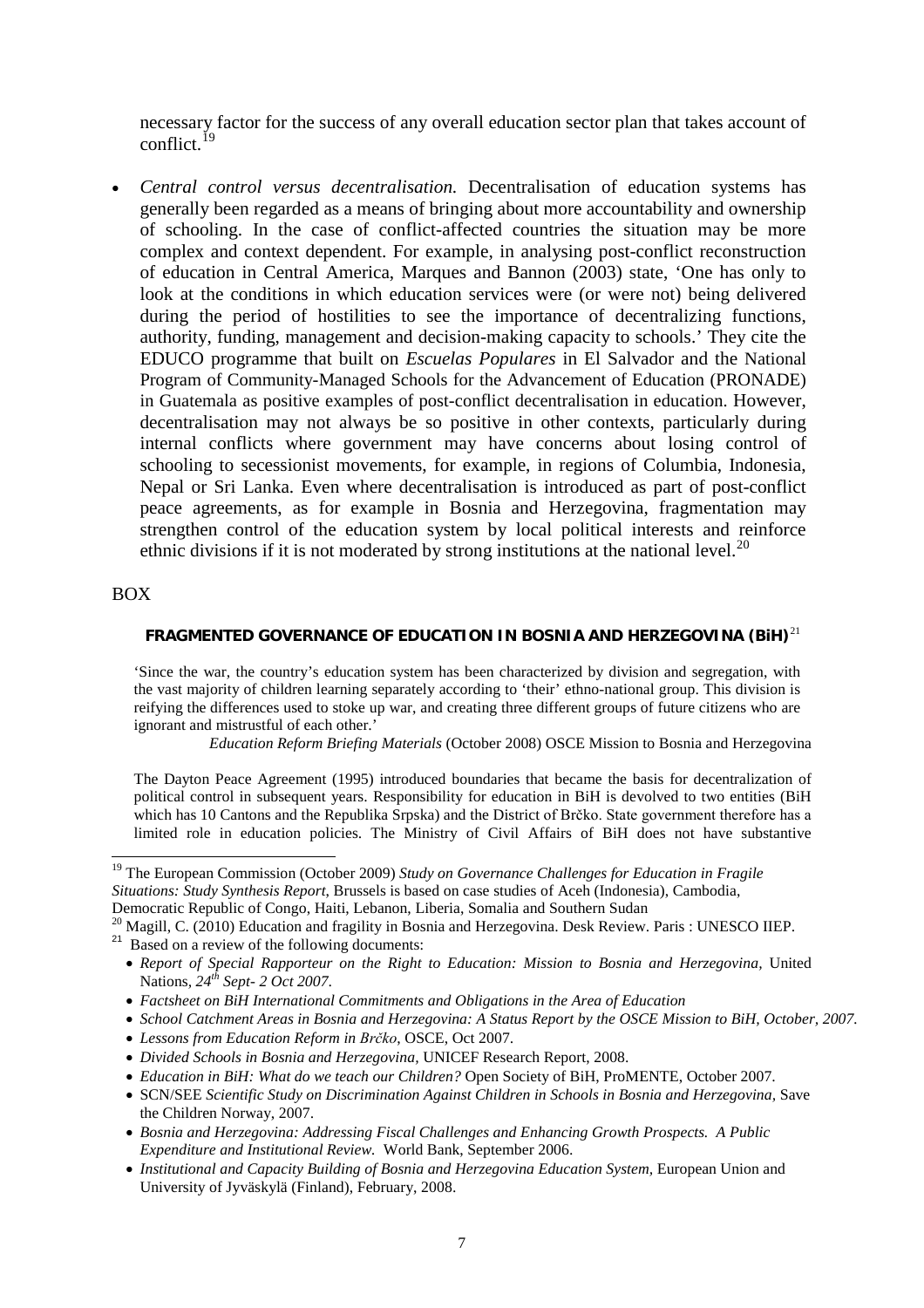necessary factor for the success of any overall education sector plan that takes account of conflict.[19](#page-7-0)

• *Central control versus decentralisation.* Decentralisation of education systems has generally been regarded as a means of bringing about more accountability and ownership of schooling. In the case of conflict-affected countries the situation may be more complex and context dependent. For example, in analysing post-conflict reconstruction of education in Central America, Marques and Bannon (2003) state, 'One has only to look at the conditions in which education services were (or were not) being delivered during the period of hostilities to see the importance of decentralizing functions, authority, funding, management and decision-making capacity to schools.' They cite the EDUCO programme that built on *Escuelas Populares* in El Salvador and the National Program of Community-Managed Schools for the Advancement of Education (PRONADE) in Guatemala as positive examples of post-conflict decentralisation in education. However, decentralisation may not always be so positive in other contexts, particularly during internal conflicts where government may have concerns about losing control of schooling to secessionist movements, for example, in regions of Columbia, Indonesia, Nepal or Sri Lanka. Even where decentralisation is introduced as part of post-conflict peace agreements, as for example in Bosnia and Herzegovina, fragmentation may strengthen control of the education system by local political interests and reinforce ethnic divisions if it is not moderated by strong institutions at the national level.<sup>[20](#page-7-1)</sup>

#### BOX

#### **FRAGMENTED GOVERNANCE OF EDUCATION IN BOSNIA AND HERZEGOVINA (BiH)**[21](#page-7-2)

'Since the war, the country's education system has been characterized by division and segregation, with the vast majority of children learning separately according to 'their' ethno-national group. This division is reifying the differences used to stoke up war, and creating three different groups of future citizens who are ignorant and mistrustful of each other.'

*Education Reform Briefing Materials* (October 2008) OSCE Mission to Bosnia and Herzegovina

The Dayton Peace Agreement (1995) introduced boundaries that became the basis for decentralization of political control in subsequent years. Responsibility for education in BiH is devolved to two entities (BiH which has 10 Cantons and the Republika Srpska) and the District of Brčko. State government therefore has a limited role in education policies. The Ministry of Civil Affairs of BiH does not have substantive

<span id="page-7-0"></span> <sup>19</sup> The European Commission (October 2009) *Study on Governance Challenges for Education in Fragile Situations: Study Synthesis Report*, Brussels is based on case studies of Aceh (Indonesia), Cambodia, Democratic Republic of Congo, Haiti, Lebanon, Liberia, Somalia and Southern Sudan

 $^{20}$  Magill, C. (2010) Education and fragility in Bosnia and Herzegovina. Desk Review. Paris : UNESCO IIEP.

<span id="page-7-2"></span><span id="page-7-1"></span> $21$  Based on a review of the following documents:

<sup>•</sup> *Report of Special Rapporteur on the Right to Education: Mission to Bosnia and Herzegovina,* United Nations*, 24th Sept- 2 Oct 2007*.

<sup>•</sup> *Factsheet on BiH International Commitments and Obligations in the Area of Education*

<sup>•</sup> *School Catchment Areas in Bosnia and Herzegovina: A Status Report by the OSCE Mission to BiH, October, 2007.*

<sup>•</sup> *Lessons from Education Reform in Brčko*, OSCE, Oct 2007.

<sup>•</sup> *Divided Schools in Bosnia and Herzegovina,* UNICEF Research Report, 2008.

<sup>•</sup> *Education in BiH: What do we teach our Children?* Open Society of BiH, ProMENTE, October 2007.

<sup>•</sup> SCN/SEE *Scientific Study on Discrimination Against Children in Schools in Bosnia and Herzegovina,* Save the Children Norway, 2007.

<sup>•</sup> *Bosnia and Herzegovina: Addressing Fiscal Challenges and Enhancing Growth Prospects. A Public Expenditure and Institutional Review.* World Bank, September 2006.

<sup>•</sup> *Institutional and Capacity Building of Bosnia and Herzegovina Education System, European Union and* University of Jyväskylä (Finland), February, 2008.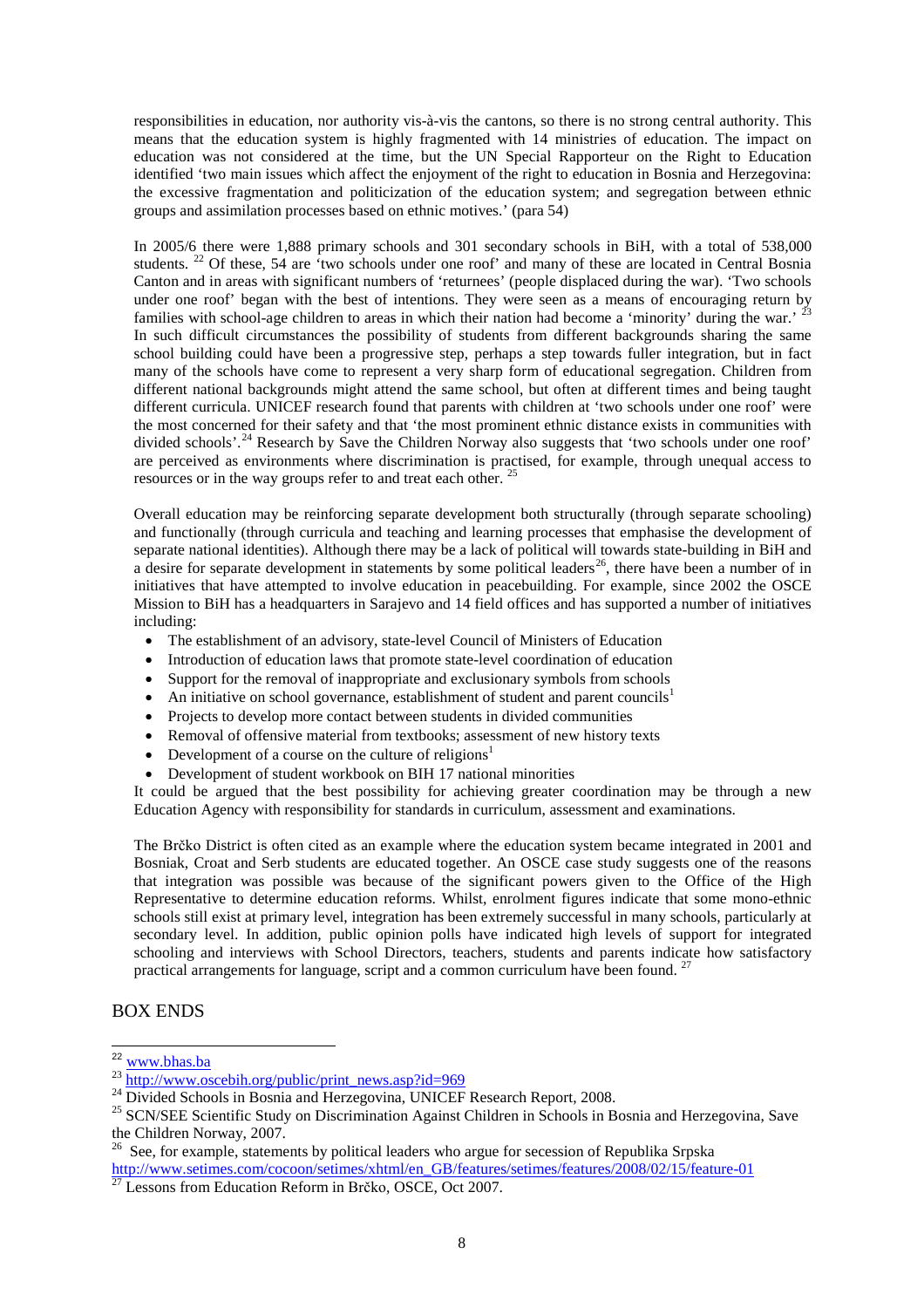responsibilities in education, nor authority vis-à-vis the cantons, so there is no strong central authority. This means that the education system is highly fragmented with 14 ministries of education. The impact on education was not considered at the time, but the UN Special Rapporteur on the Right to Education identified 'two main issues which affect the enjoyment of the right to education in Bosnia and Herzegovina: the excessive fragmentation and politicization of the education system; and segregation between ethnic groups and assimilation processes based on ethnic motives.' (para 54)

In 2005/6 there were 1,888 primary schools and 301 secondary schools in BiH, with a total of 538,000 students. <sup>[22](#page-8-0)</sup> Of these, 54 are 'two schools under one roof' and many of these are located in Central Bosnia Canton and in areas with significant numbers of 'returnees' (people displaced during the war). 'Two schools under one roof' began with the best of intentions. They were seen as a means of encouraging return by families with school-age children to areas in which their nation had become a 'minority' during the war.' <sup>[23](#page-8-1)</sup> In such difficult circumstances the possibility of students from different backgrounds sharing the same school building could have been a progressive step, perhaps a step towards fuller integration, but in fact many of the schools have come to represent a very sharp form of educational segregation. Children from different national backgrounds might attend the same school, but often at different times and being taught different curricula. UNICEF research found that parents with children at 'two schools under one roof' were the most concerned for their safety and that 'the most prominent ethnic distance exists in communities with divided schools'.<sup>[24](#page-8-2)</sup> Research by Save the Children Norway also suggests that 'two schools under one roof' are perceived as environments where discrimination is practised, for example, through unequal access to resources or in the way groups refer to and treat each other. [25](#page-8-3) 

Overall education may be reinforcing separate development both structurally (through separate schooling) and functionally (through curricula and teaching and learning processes that emphasise the development of separate national identities). Although there may be a lack of political will towards state-building in BiH and a desire for separate development in statements by some political leaders<sup>[26](#page-8-4)</sup>, there have been a number of in initiatives that have attempted to involve education in peacebuilding. For example, since 2002 the OSCE Mission to BiH has a headquarters in Sarajevo and 14 field offices and has supported a number of initiatives including:

- The establishment of an advisory, state-level Council of Ministers of Education
- Introduction of education laws that promote state-level coordination of education
- Support for the removal of inappropriate and exclusionary symbols from schools
- An initiative on school governance, establishment of student and parent councils<sup>1</sup>
- Projects to develop more contact between students in divided communities
- Removal of offensive material from textbooks; assessment of new history texts
- Development of a course on the culture of religions<sup>1</sup>
- Development of student workbook on BIH 17 national minorities

It could be argued that the best possibility for achieving greater coordination may be through a new Education Agency with responsibility for standards in curriculum, assessment and examinations.

The Brčko District is often cited as an example where the education system became integrated in 2001 and Bosniak, Croat and Serb students are educated together. An OSCE case study suggests one of the reasons that integration was possible was because of the significant powers given to the Office of the High Representative to determine education reforms. Whilst, enrolment figures indicate that some mono-ethnic schools still exist at primary level, integration has been extremely successful in many schools, particularly at secondary level. In addition, public opinion polls have indicated high levels of support for integrated schooling and interviews with School Directors, teachers, students and parents indicate how satisfactory practical arrangements for language, script and a common curriculum have been found.<sup>[27](#page-8-5)</sup>

#### BOX ENDS

<span id="page-8-0"></span><sup>&</sup>lt;sup>22</sup> www.bhas.ba

<span id="page-8-2"></span><span id="page-8-1"></span><sup>&</sup>lt;sup>23</sup> [http://www.oscebih.org/public/print\\_news.asp?id=969](http://www.oscebih.org/public/print_news.asp?id=969)<br><sup>24</sup> Divided Schools in Bosnia and Herzegovina, UNICEF Research Report, 2008.<br><sup>25</sup> SCN/SEE Scientific Study on Discrimination Against Children in Schools in Bosnia a the Children Norway, 2007.

<span id="page-8-4"></span><span id="page-8-3"></span><sup>&</sup>lt;sup>26</sup> See, for example, statements by political leaders who argue for secession of Republika Srpska<br>http://www.setimes.com/cocoon/setimes/xhtml/en\_GB/features/setimes/features/2008/02/15/feature-01

<span id="page-8-5"></span> $\frac{1}{27}$  Lessons from Education Reform in Brčko, OSCE, Oct 2007.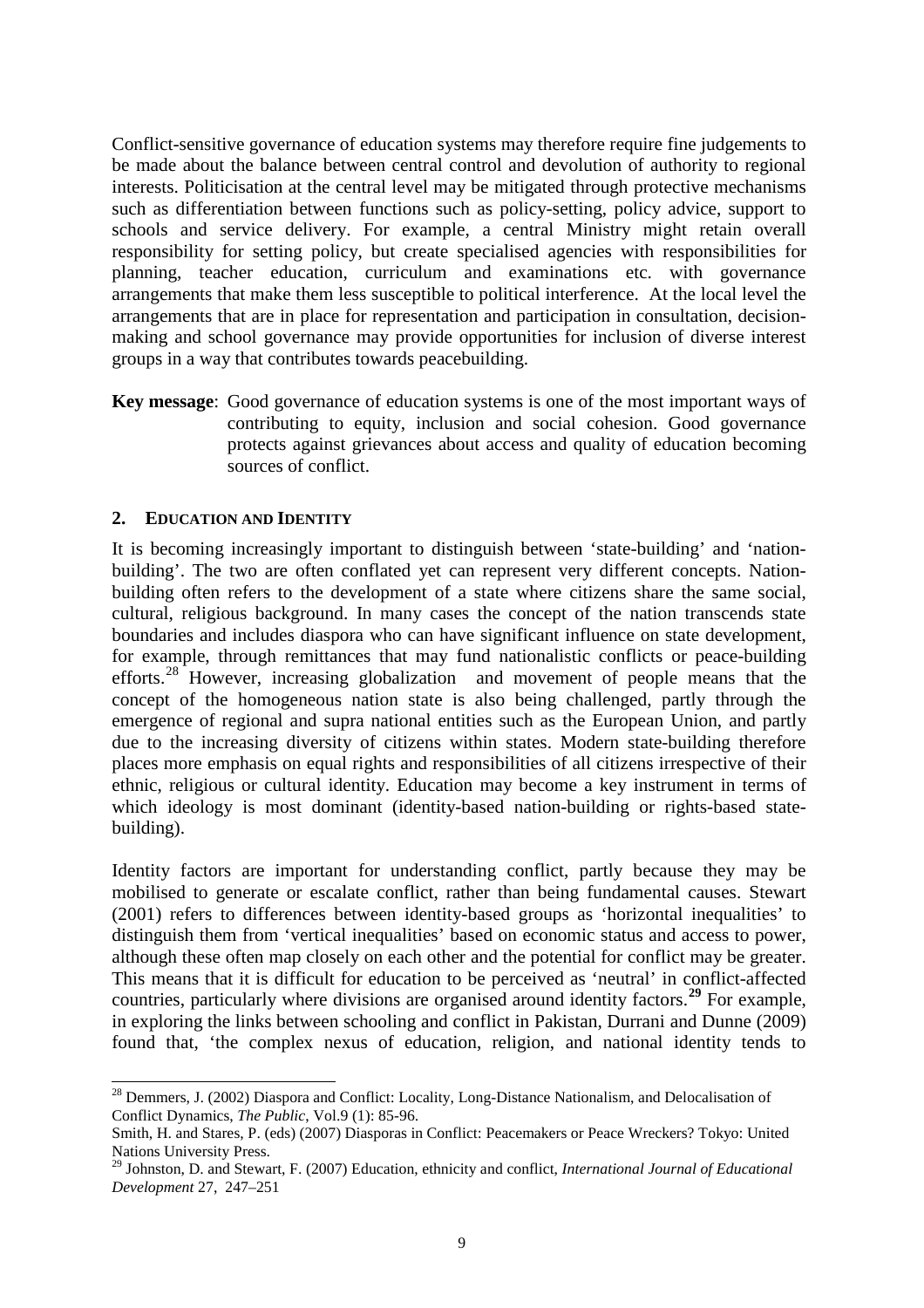Conflict-sensitive governance of education systems may therefore require fine judgements to be made about the balance between central control and devolution of authority to regional interests. Politicisation at the central level may be mitigated through protective mechanisms such as differentiation between functions such as policy-setting, policy advice, support to schools and service delivery. For example, a central Ministry might retain overall responsibility for setting policy, but create specialised agencies with responsibilities for planning, teacher education, curriculum and examinations etc. with governance arrangements that make them less susceptible to political interference. At the local level the arrangements that are in place for representation and participation in consultation, decisionmaking and school governance may provide opportunities for inclusion of diverse interest groups in a way that contributes towards peacebuilding.

**Key message**: Good governance of education systems is one of the most important ways of contributing to equity, inclusion and social cohesion. Good governance protects against grievances about access and quality of education becoming sources of conflict.

#### **2. EDUCATION AND IDENTITY**

It is becoming increasingly important to distinguish between 'state-building' and 'nationbuilding'. The two are often conflated yet can represent very different concepts. Nationbuilding often refers to the development of a state where citizens share the same social, cultural, religious background. In many cases the concept of the nation transcends state boundaries and includes diaspora who can have significant influence on state development, for example, through remittances that may fund nationalistic conflicts or peace-building efforts.<sup>[28](#page-9-0)</sup> However, increasing globalization and movement of people means that the concept of the homogeneous nation state is also being challenged, partly through the emergence of regional and supra national entities such as the European Union, and partly due to the increasing diversity of citizens within states. Modern state-building therefore places more emphasis on equal rights and responsibilities of all citizens irrespective of their ethnic, religious or cultural identity. Education may become a key instrument in terms of which ideology is most dominant (identity-based nation-building or rights-based statebuilding).

Identity factors are important for understanding conflict, partly because they may be mobilised to generate or escalate conflict, rather than being fundamental causes. Stewart (2001) refers to differences between identity-based groups as 'horizontal inequalities' to distinguish them from 'vertical inequalities' based on economic status and access to power, although these often map closely on each other and the potential for conflict may be greater. This means that it is difficult for education to be perceived as 'neutral' in conflict-affected countries, particularly where divisions are organised around identity factors. **[29](#page-9-1)** For example, in exploring the links between schooling and conflict in Pakistan, Durrani and Dunne (2009) found that, 'the complex nexus of education, religion, and national identity tends to

<span id="page-9-0"></span><sup>&</sup>lt;sup>28</sup> Demmers, J. (2002) Diaspora and Conflict: Locality, Long-Distance Nationalism, and Delocalisation of Conflict Dynamics, *The Public*, Vol.9 (1): 85-96.

Smith, H. and Stares, P. (eds) (2007) Diasporas in Conflict: Peacemakers or Peace Wreckers? Tokyo: United Nations University Press.

<span id="page-9-1"></span><sup>29</sup> Johnston, D. and Stewart, F. (2007) Education, ethnicity and conflict, *International Journal of Educational Development* 27, 247–251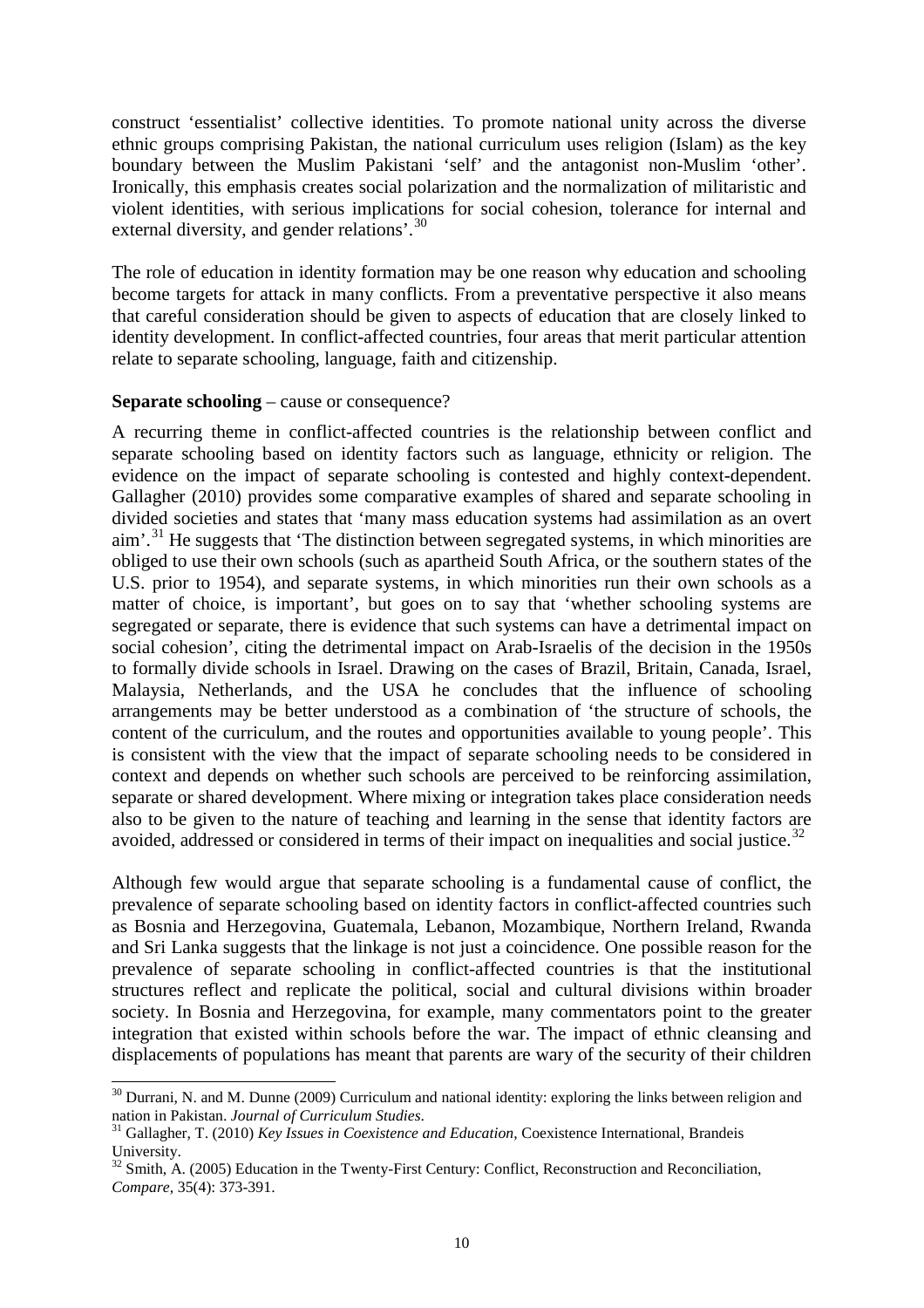construct 'essentialist' collective identities. To promote national unity across the diverse ethnic groups comprising Pakistan, the national curriculum uses religion (Islam) as the key boundary between the Muslim Pakistani 'self' and the antagonist non-Muslim 'other'. Ironically, this emphasis creates social polarization and the normalization of militaristic and violent identities, with serious implications for social cohesion, tolerance for internal and external diversity, and gender relations'.<sup>[30](#page-10-0)</sup>

The role of education in identity formation may be one reason why education and schooling become targets for attack in many conflicts. From a preventative perspective it also means that careful consideration should be given to aspects of education that are closely linked to identity development. In conflict-affected countries, four areas that merit particular attention relate to separate schooling, language, faith and citizenship.

#### **Separate schooling** – cause or consequence?

A recurring theme in conflict-affected countries is the relationship between conflict and separate schooling based on identity factors such as language, ethnicity or religion. The evidence on the impact of separate schooling is contested and highly context-dependent. Gallagher (2010) provides some comparative examples of shared and separate schooling in divided societies and states that 'many mass education systems had assimilation as an overt aim'.<sup>[31](#page-10-1)</sup> He suggests that 'The distinction between segregated systems, in which minorities are obliged to use their own schools (such as apartheid South Africa, or the southern states of the U.S. prior to 1954), and separate systems, in which minorities run their own schools as a matter of choice, is important', but goes on to say that 'whether schooling systems are segregated or separate, there is evidence that such systems can have a detrimental impact on social cohesion', citing the detrimental impact on Arab-Israelis of the decision in the 1950s to formally divide schools in Israel. Drawing on the cases of Brazil, Britain, Canada, Israel, Malaysia, Netherlands, and the USA he concludes that the influence of schooling arrangements may be better understood as a combination of 'the structure of schools, the content of the curriculum, and the routes and opportunities available to young people'. This is consistent with the view that the impact of separate schooling needs to be considered in context and depends on whether such schools are perceived to be reinforcing assimilation, separate or shared development. Where mixing or integration takes place consideration needs also to be given to the nature of teaching and learning in the sense that identity factors are avoided, addressed or considered in terms of their impact on inequalities and social justice.<sup>[32](#page-10-2)</sup>

Although few would argue that separate schooling is a fundamental cause of conflict, the prevalence of separate schooling based on identity factors in conflict-affected countries such as Bosnia and Herzegovina, Guatemala, Lebanon, Mozambique, Northern Ireland, Rwanda and Sri Lanka suggests that the linkage is not just a coincidence. One possible reason for the prevalence of separate schooling in conflict-affected countries is that the institutional structures reflect and replicate the political, social and cultural divisions within broader society. In Bosnia and Herzegovina, for example, many commentators point to the greater integration that existed within schools before the war. The impact of ethnic cleansing and displacements of populations has meant that parents are wary of the security of their children

<span id="page-10-0"></span><sup>&</sup>lt;sup>30</sup> Durrani, N. and M. Dunne (2009) Curriculum and national identity: exploring the links between religion and nation in Pakistan. *Journal of Curriculum Studies*. <sup>31</sup> Gallagher, T. (2010) *Key Issues in Coexistence and Education*, Coexistence International, Brandeis

<span id="page-10-1"></span>University.<br><sup>32</sup> Smith, A. (2005) Education in the Twenty-First Century: Conflict, Reconstruction and Reconciliation,

<span id="page-10-2"></span>*Compare*, 35(4): 373-391.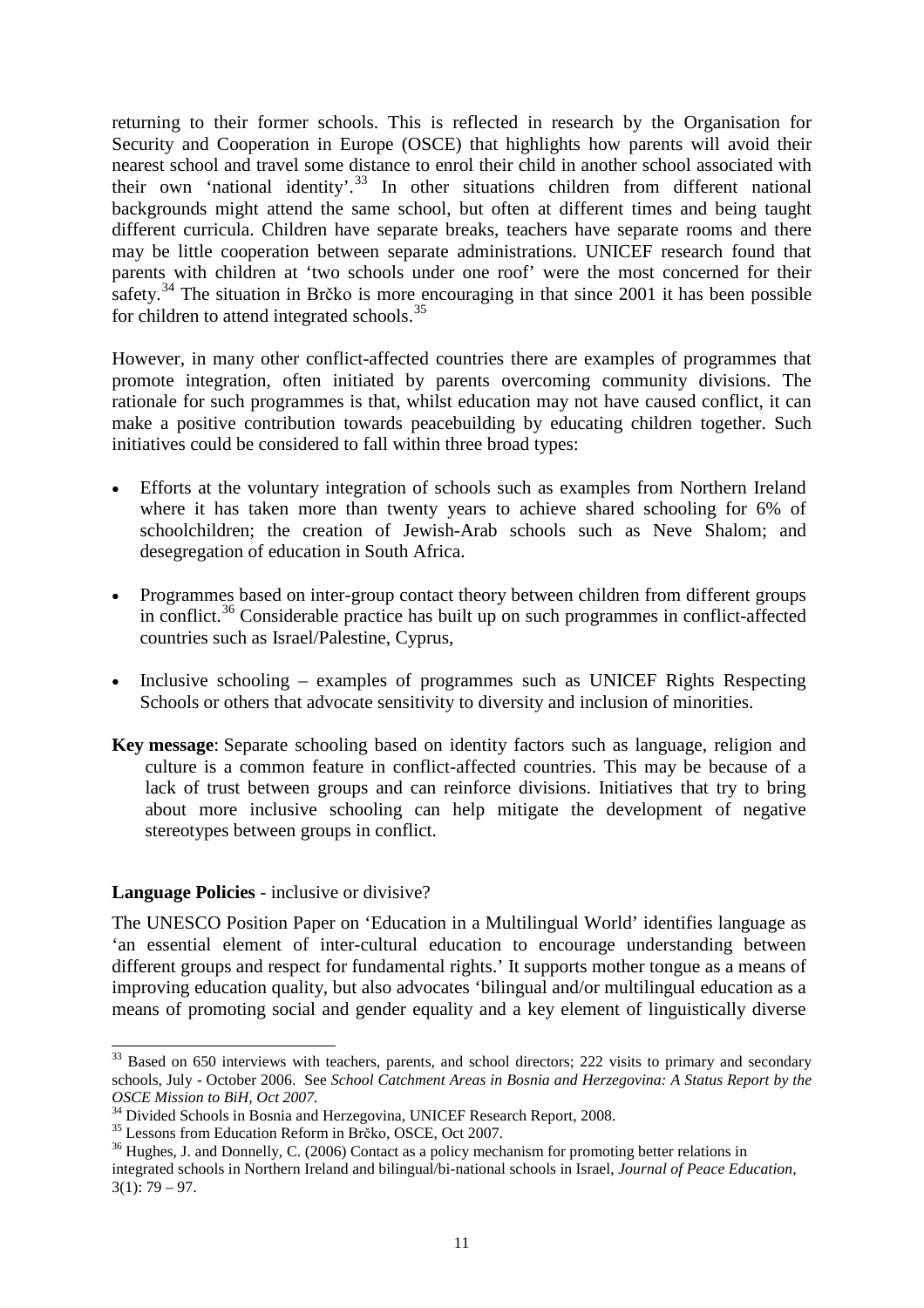returning to their former schools. This is reflected in research by the Organisation for Security and Cooperation in Europe (OSCE) that highlights how parents will avoid their nearest school and travel some distance to enrol their child in another school associated with their own 'national identity'.<sup>[33](#page-11-0)</sup> In other situations children from different national backgrounds might attend the same school, but often at different times and being taught different curricula. Children have separate breaks, teachers have separate rooms and there may be little cooperation between separate administrations. UNICEF research found that parents with children at 'two schools under one roof' were the most concerned for their safety.<sup>[34](#page-11-1)</sup> The situation in Brčko is more encouraging in that since 2001 it has been possible for children to attend integrated schools.<sup>[35](#page-11-2)</sup>

However, in many other conflict-affected countries there are examples of programmes that promote integration, often initiated by parents overcoming community divisions. The rationale for such programmes is that, whilst education may not have caused conflict, it can make a positive contribution towards peacebuilding by educating children together. Such initiatives could be considered to fall within three broad types:

- Efforts at the voluntary integration of schools such as examples from Northern Ireland where it has taken more than twenty years to achieve shared schooling for 6% of schoolchildren; the creation of Jewish-Arab schools such as Neve Shalom; and desegregation of education in South Africa.
- Programmes based on inter-group contact theory between children from different groups in conflict.<sup>[36](#page-11-3)</sup> Considerable practice has built up on such programmes in conflict-affected countries such as Israel/Palestine, Cyprus,
- Inclusive schooling examples of programmes such as UNICEF Rights Respecting Schools or others that advocate sensitivity to diversity and inclusion of minorities.
- **Key message**: Separate schooling based on identity factors such as language, religion and culture is a common feature in conflict-affected countries. This may be because of a lack of trust between groups and can reinforce divisions. Initiatives that try to bring about more inclusive schooling can help mitigate the development of negative stereotypes between groups in conflict.

## **Language Policies** - inclusive or divisive?

The UNESCO Position Paper on 'Education in a Multilingual World' identifies language as 'an essential element of inter-cultural education to encourage understanding between different groups and respect for fundamental rights.' It supports mother tongue as a means of improving education quality, but also advocates 'bilingual and/or multilingual education as a means of promoting social and gender equality and a key element of linguistically diverse

<span id="page-11-0"></span><sup>&</sup>lt;sup>33</sup> Based on 650 interviews with teachers, parents, and school directors; 222 visits to primary and secondary schools, July - October 2006. See *School Catchment Areas in Bosnia and Herzegovina: A Status Report by the* 

*OSCE Mission to BiH, Oct 2007.*<br><sup>34</sup> Divided Schools in Bosnia and Herzegovina, UNICEF Research Report, 2008.

<span id="page-11-3"></span><span id="page-11-2"></span><span id="page-11-1"></span><sup>&</sup>lt;sup>35</sup> Lessons from Education Reform in Brcko, OSCE, Oct 2007.<br><sup>36</sup> Hughes, J. and Donnelly, C. (2006) Contact as a policy mechanism for promoting better relations in integrated schools in Northern Ireland and bilingual/bi-national schools in Israel, *Journal of Peace Education,*  $3(1)$ : 79 – 97.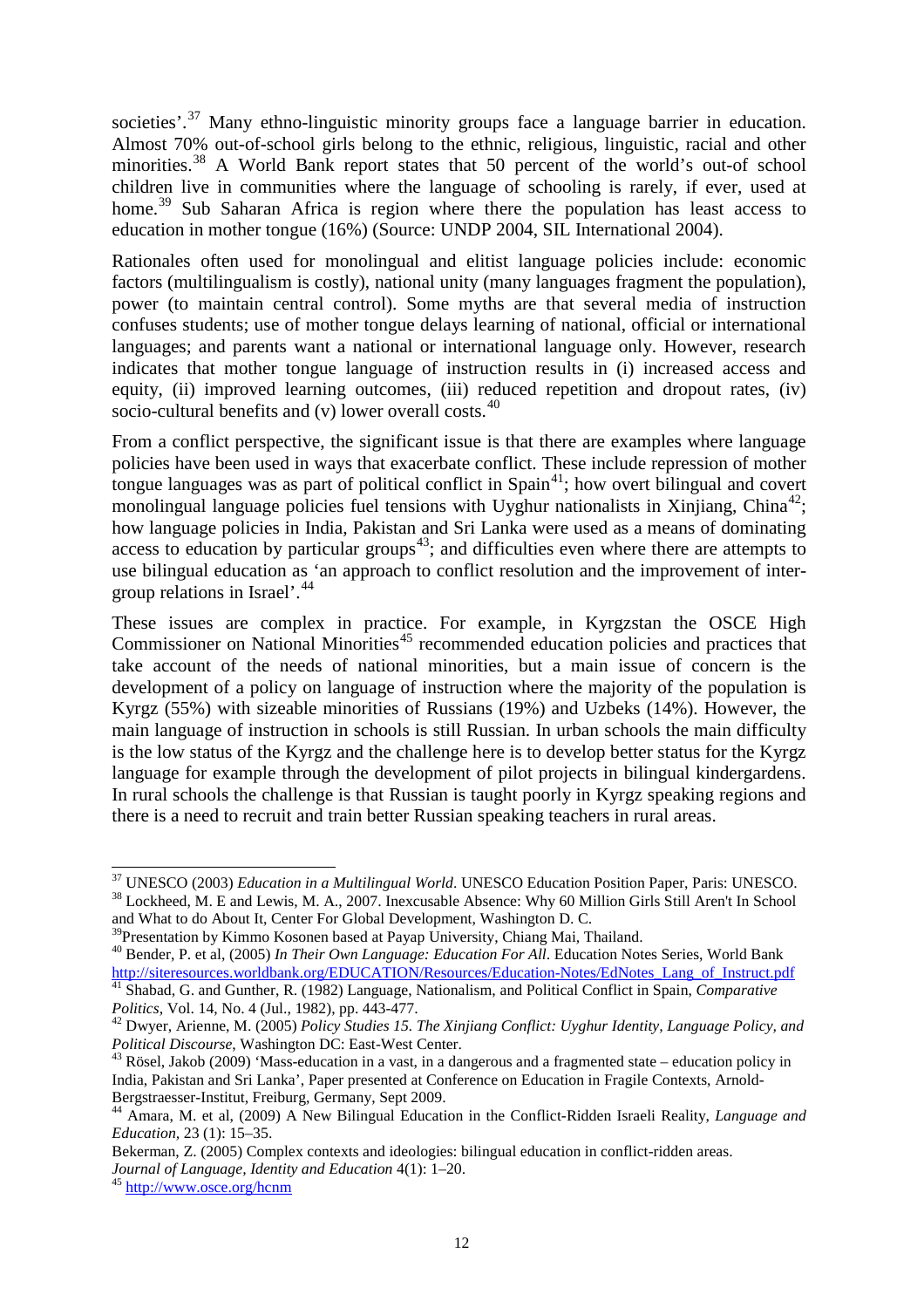societies'.<sup>[37](#page-12-0)</sup> Many ethno-linguistic minority groups face a language barrier in education. Almost 70% out-of-school girls belong to the ethnic, religious, linguistic, racial and other minorities.<sup>[38](#page-12-1)</sup> A World Bank report states that 50 percent of the world's out-of school children live in communities where the language of schooling is rarely, if ever, used at home.<sup>[39](#page-12-2)</sup> Sub Saharan Africa is region where there the population has least access to education in mother tongue (16%) (Source: UNDP 2004, SIL International 2004).

Rationales often used for monolingual and elitist language policies include: economic factors (multilingualism is costly), national unity (many languages fragment the population), power (to maintain central control). Some myths are that several media of instruction confuses students; use of mother tongue delays learning of national, official or international languages; and parents want a national or international language only. However, research indicates that mother tongue language of instruction results in (i) increased access and equity, (ii) improved learning outcomes, (iii) reduced repetition and dropout rates, (iv) socio-cultural benefits and (v) lower overall costs.<sup>[40](#page-12-3)</sup>

From a conflict perspective, the significant issue is that there are examples where language policies have been used in ways that exacerbate conflict. These include repression of mother tongue languages was as part of political conflict in  $\text{Span}^{41}$ ; how overt bilingual and covert monolingual language policies fuel tensions with Uyghur nationalists in Xinjiang, China<sup>[42](#page-12-5)</sup>; how language policies in India, Pakistan and Sri Lanka were used as a means of dominating access to education by particular groups<sup>[43](#page-12-6)</sup>; and difficulties even where there are attempts to use bilingual education as 'an approach to conflict resolution and the improvement of intergroup relations in Israel'. [44](#page-12-7)

These issues are complex in practice. For example, in Kyrgzstan the OSCE High Commissioner on National Minorities<sup>[45](#page-12-8)</sup> recommended education policies and practices that take account of the needs of national minorities, but a main issue of concern is the development of a policy on language of instruction where the majority of the population is Kyrgz (55%) with sizeable minorities of Russians (19%) and Uzbeks (14%). However, the main language of instruction in schools is still Russian. In urban schools the main difficulty is the low status of the Kyrgz and the challenge here is to develop better status for the Kyrgz language for example through the development of pilot projects in bilingual kindergardens. In rural schools the challenge is that Russian is taught poorly in Kyrgz speaking regions and there is a need to recruit and train better Russian speaking teachers in rural areas.

<span id="page-12-0"></span> <sup>37</sup> UNESCO (2003) *Education in a Multilingual World*. UNESCO Education Position Paper, Paris: UNESCO. <sup>38</sup> Lockheed, M. E and Lewis, M. A., 2007. Inexcusable Absence: Why 60 Million Girls Still Aren't In School

<span id="page-12-1"></span>and What to do About It, Center For Global Development, Washington D. C.<br><sup>39</sup> Presentation by Kimmo Kosonen based at Payap University, Chiang Mai, Thailand.

<span id="page-12-2"></span><sup>&</sup>lt;sup>40</sup> Bender, P. et al, (2005) *In Their Own Language: Education For All*. Education Notes Series, World Bank

<span id="page-12-4"></span><span id="page-12-3"></span>[http://siteresources.worldbank.org/EDUCATION/Resources/Education-Notes/EdNotes\\_Lang\\_of\\_Instruct.pdf](http://siteresources.worldbank.org/EDUCATION/Resources/Education-Notes/EdNotes_Lang_of_Instruct.pdf) <sup>41</sup> Shabad, G. and Gunther, R. (1982) Language, Nationalism, and Political Conflict in Spain, *Comparative* 

<span id="page-12-5"></span><sup>&</sup>lt;sup>42</sup> Dwyer, Arienne, M. (2005) *Policy Studies 15. The Xinjiang Conflict: Uyghur Identity, Language Policy, and Political Discourse, Washington DC: East-West Center.* 

<span id="page-12-6"></span><sup>&</sup>lt;sup>43</sup> Rösel, Jakob (2009) 'Mass-education in a vast, in a dangerous and a fragmented state – education policy in India, Pakistan and Sri Lanka', Paper presented at Conference on Education in Fragile Contexts, Arnold-Bergstraesser-Institut, Freiburg, Germany, Sept 2009.<br><sup>44</sup> Amara, M. et al, (2009) A New Bilingual Education in the Conflict-Ridden Israeli Reality, *Language and* 

<span id="page-12-7"></span>*Education,* 23 (1): 15–35.

Bekerman, Z. (2005) Complex contexts and ideologies: bilingual education in conflict-ridden areas.

<span id="page-12-8"></span>*Journal of Language, Identity and Education* 4(1): 1–20.<br><sup>45</sup> http://www.<u>osce.org/hcnm</u>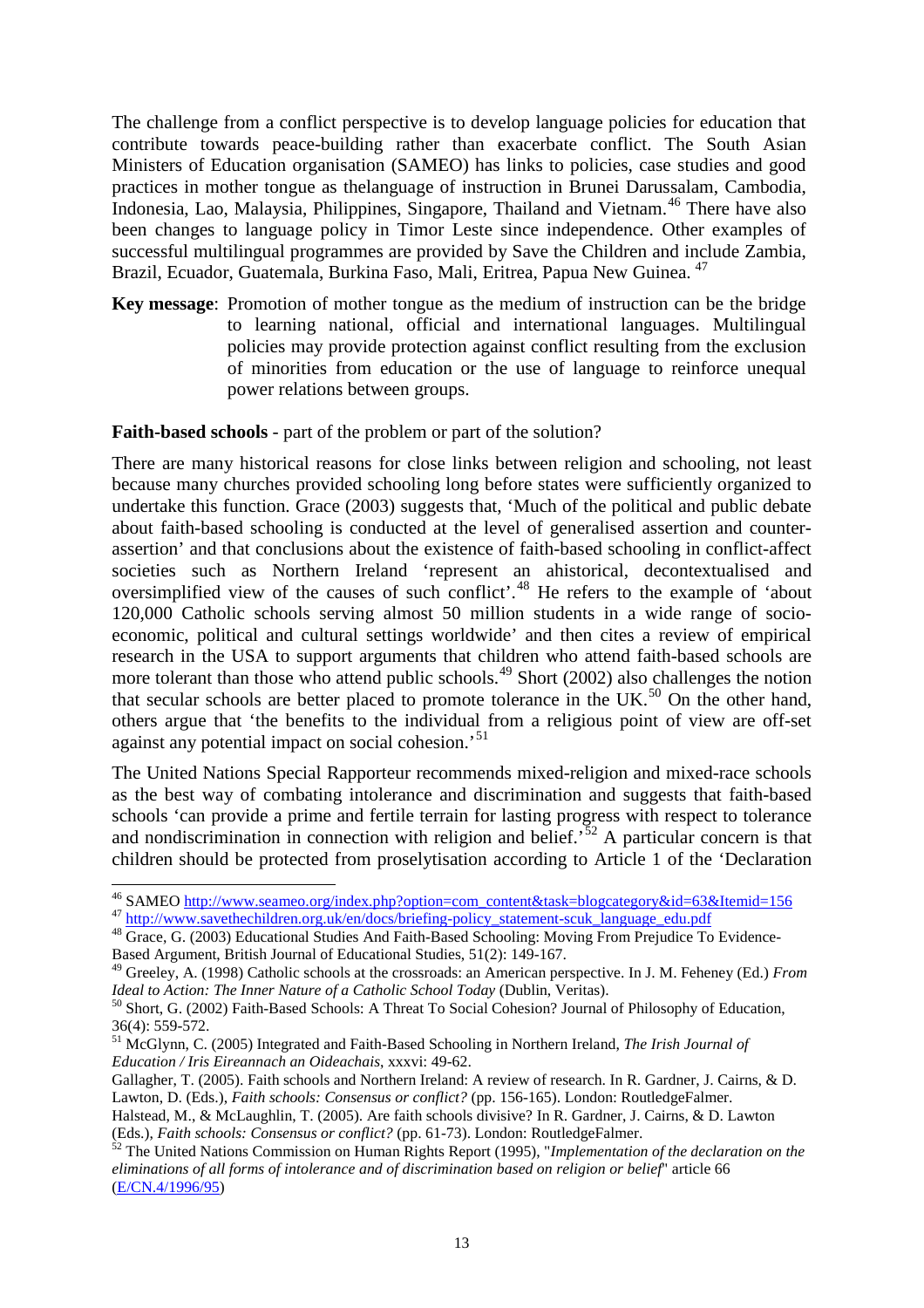The challenge from a conflict perspective is to develop language policies for education that contribute towards peace-building rather than exacerbate conflict. The South Asian Ministers of Education organisation (SAMEO) has links to policies, case studies and good practices in mother tongue as thelanguage of instruction in Brunei Darussalam, Cambodia, Indonesia, Lao, Malaysia, Philippines, Singapore, Thailand and Vietnam.<sup>[46](#page-13-0)</sup> There have also been changes to language policy in Timor Leste since independence. Other examples of successful multilingual programmes are provided by Save the Children and include Zambia, Brazil, Ecuador, Guatemala, Burkina Faso, Mali, Eritrea, Papua New Guinea.<sup>[47](#page-13-1)</sup>

**Key message**: Promotion of mother tongue as the medium of instruction can be the bridge to learning national, official and international languages. Multilingual policies may provide protection against conflict resulting from the exclusion of minorities from education or the use of language to reinforce unequal power relations between groups.

#### **Faith-based schools** *-* part of the problem or part of the solution?

There are many historical reasons for close links between religion and schooling, not least because many churches provided schooling long before states were sufficiently organized to undertake this function. Grace (2003) suggests that, 'Much of the political and public debate about faith-based schooling is conducted at the level of generalised assertion and counterassertion' and that conclusions about the existence of faith-based schooling in conflict-affect societies such as Northern Ireland 'represent an ahistorical, decontextualised and oversimplified view of the causes of such conflict'.[48](#page-13-2) He refers to the example of 'about 120,000 Catholic schools serving almost 50 million students in a wide range of socioeconomic, political and cultural settings worldwide' and then cites a review of empirical research in the USA to support arguments that children who attend faith-based schools are more tolerant than those who attend public schools.<sup>[49](#page-13-3)</sup> Short (2002) also challenges the notion that secular schools are better placed to promote tolerance in the  $UK.^{50}$  $UK.^{50}$  $UK.^{50}$  On the other hand, others argue that 'the benefits to the individual from a religious point of view are off-set against any potential impact on social cohesion.<sup>[51](#page-13-5)</sup>

The United Nations Special Rapporteur recommends mixed-religion and mixed-race schools as the best way of combating intolerance and discrimination and suggests that faith-based schools 'can provide a prime and fertile terrain for lasting progress with respect to tolerance and nondiscrimination in connection with religion and belief.<sup>[52](#page-13-6)</sup> A particular concern is that children should be protected from proselytisation according to Article 1 of the 'Declaration

<span id="page-13-0"></span><sup>&</sup>lt;sup>46</sup> SAMEO http://www.seameo.org/index.php?option=com\_content&task=blogcategory&id=63&Itemid=156

<span id="page-13-2"></span><span id="page-13-1"></span><sup>&</sup>lt;sup>47</sup> http://www.savethechildren.org.uk/en/docs/briefing-policy statement-scuk language edu.pdf<br><sup>48</sup> Grace, G. (2003) Educational Studies And Faith-Based Schooling: Moving From Prejudice To Evidence-Based Argument, British Journal of Educational Studies, 51(2): 149-167.

<span id="page-13-3"></span><sup>49</sup> Greeley, A. (1998) Catholic schools at the crossroads: an American perspective. In J. M. Feheney (Ed.) *From* 

<span id="page-13-4"></span>*Ideal to Action: The Inner Nature of a Catholic School Today (Dublin, Veritas).*<br><sup>50</sup> Short, G. (2002) Faith-Based Schools: A Threat To Social Cohesion? Journal of Philosophy of Education, 36(4): 559-572.

<span id="page-13-5"></span><sup>&</sup>lt;sup>51</sup> McGlynn, C. (2005) Integrated and Faith-Based Schooling in Northern Ireland, *The Irish Journal of [Education / Iris Eireannach an Oideachais](http://www.jstor.org/action/showPublication?journalCode=irisjeduc)*, xxxvi: 49-62.

Gallagher, T. (2005). Faith schools and Northern Ireland: A review of research. In R. Gardner, J. Cairns, & D. Lawton, D. (Eds.), *Faith schools: Consensus or conflict?* (pp. 156-165). London: RoutledgeFalmer.

Halstead, M., & McLaughlin, T. (2005). Are faith schools divisive? In R. Gardner, J. Cairns, & D. Lawton

<span id="page-13-6"></span><sup>(</sup>Eds.), *Faith schools: Consensus or conflict?* (pp. 61-73). London: RoutledgeFalmer. <sup>52</sup> The United Nations Commission on Human Rights Report (1995), "*Implementation of the declaration on the eliminations of all forms of intolerance and of discrimination based on religion or belief*" article 66 [\(E/CN.4/1996/95\)](http://www1.umn.edu/humanrts/commission/thematic52/95-relig.htm)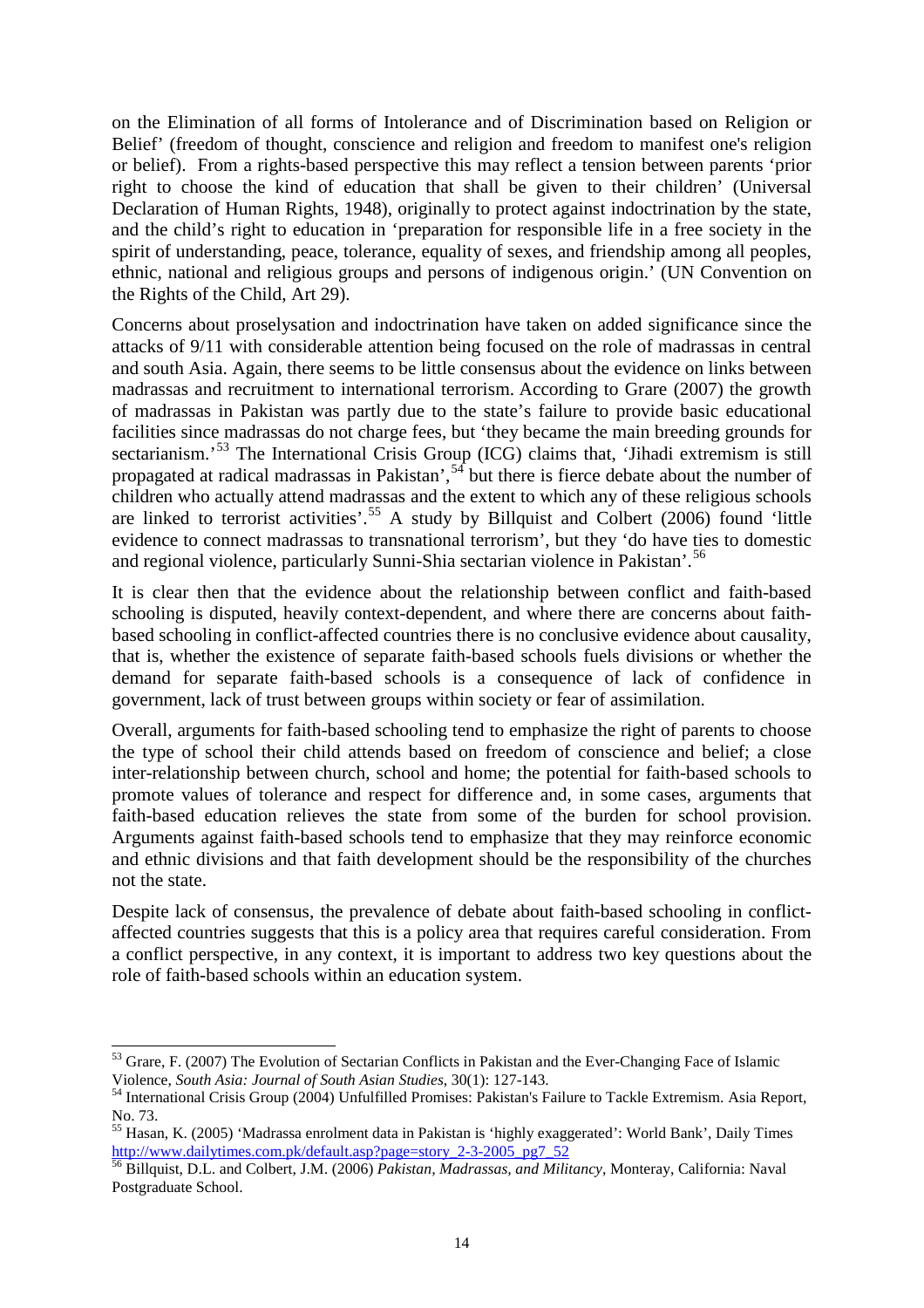on the Elimination of all forms of Intolerance and of Discrimination based on Religion or Belief' (freedom of thought, conscience and religion and freedom to manifest one's religion or belief). From a rights-based perspective this may reflect a tension between parents 'prior right to choose the kind of education that shall be given to their children' (Universal Declaration of Human Rights, 1948), originally to protect against indoctrination by the state, and the child's right to education in 'preparation for responsible life in a free society in the spirit of understanding, peace, tolerance, equality of sexes, and friendship among all peoples, ethnic, national and religious groups and persons of indigenous origin.' (UN Convention on the Rights of the Child, Art 29).

Concerns about proselysation and indoctrination have taken on added significance since the attacks of 9/11 with considerable attention being focused on the role of madrassas in central and south Asia. Again, there seems to be little consensus about the evidence on links between madrassas and recruitment to international terrorism. According to Grare (2007) the growth of madrassas in Pakistan was partly due to the state's failure to provide basic educational facilities since madrassas do not charge fees, but 'they became the main breeding grounds for sectarianism.<sup>[53](#page-14-0)</sup> The International Crisis Group (ICG) claims that, 'Jihadi extremism is still propagated at radical madrassas in Pakistan',<sup>[54](#page-14-1)</sup> but there is fierce debate about the number of children who actually attend madrassas and the extent to which any of these religious schools are linked to terrorist activities'. [55](#page-14-2) A study by Billquist and Colbert (2006) found 'little evidence to connect madrassas to transnational terrorism', but they 'do have ties to domestic and regional violence, particularly Sunni-Shia sectarian violence in Pakistan'.[56](#page-14-3)

It is clear then that the evidence about the relationship between conflict and faith-based schooling is disputed, heavily context-dependent, and where there are concerns about faithbased schooling in conflict-affected countries there is no conclusive evidence about causality, that is, whether the existence of separate faith-based schools fuels divisions or whether the demand for separate faith-based schools is a consequence of lack of confidence in government, lack of trust between groups within society or fear of assimilation.

Overall, arguments for faith-based schooling tend to emphasize the right of parents to choose the type of school their child attends based on freedom of conscience and belief; a close inter-relationship between church, school and home; the potential for faith-based schools to promote values of tolerance and respect for difference and, in some cases, arguments that faith-based education relieves the state from some of the burden for school provision. Arguments against faith-based schools tend to emphasize that they may reinforce economic and ethnic divisions and that faith development should be the responsibility of the churches not the state.

Despite lack of consensus, the prevalence of debate about faith-based schooling in conflictaffected countries suggests that this is a policy area that requires careful consideration. From a conflict perspective, in any context, it is important to address two key questions about the role of faith-based schools within an education system.

<span id="page-14-0"></span><sup>&</sup>lt;sup>53</sup> Grare, F. (2007) The Evolution of Sectarian Conflicts in Pakistan and the Ever-Changing Face of Islamic Violence, *South Asia: Journal of South Asian Studies*, 30(1): 127-143.<br><sup>54</sup> International Crisis Group (2004) Unfulfilled Promises: Pakistan's Failure to Tackle Extremism. Asia Report,

<span id="page-14-1"></span>

<span id="page-14-2"></span>No. 73.<br><sup>55</sup> Hasan, K. (2005) 'Madrassa enrolment data in Pakistan is 'highly exaggerated': World Bank', Daily Times<br>http://www.dailytimes.com.pk/default.asp?page=story\_2-3-2005\_pg7\_52<br> $\frac{56 \text{ pill}}{25 \text{ pill}}$ 

<span id="page-14-3"></span><sup>&</sup>lt;sup>16</sup> Billquist, D.L. and Colbert, J.M. (2006) *Pakistan, Madrassas, and Militancy*, Monteray, California: Naval Postgraduate School.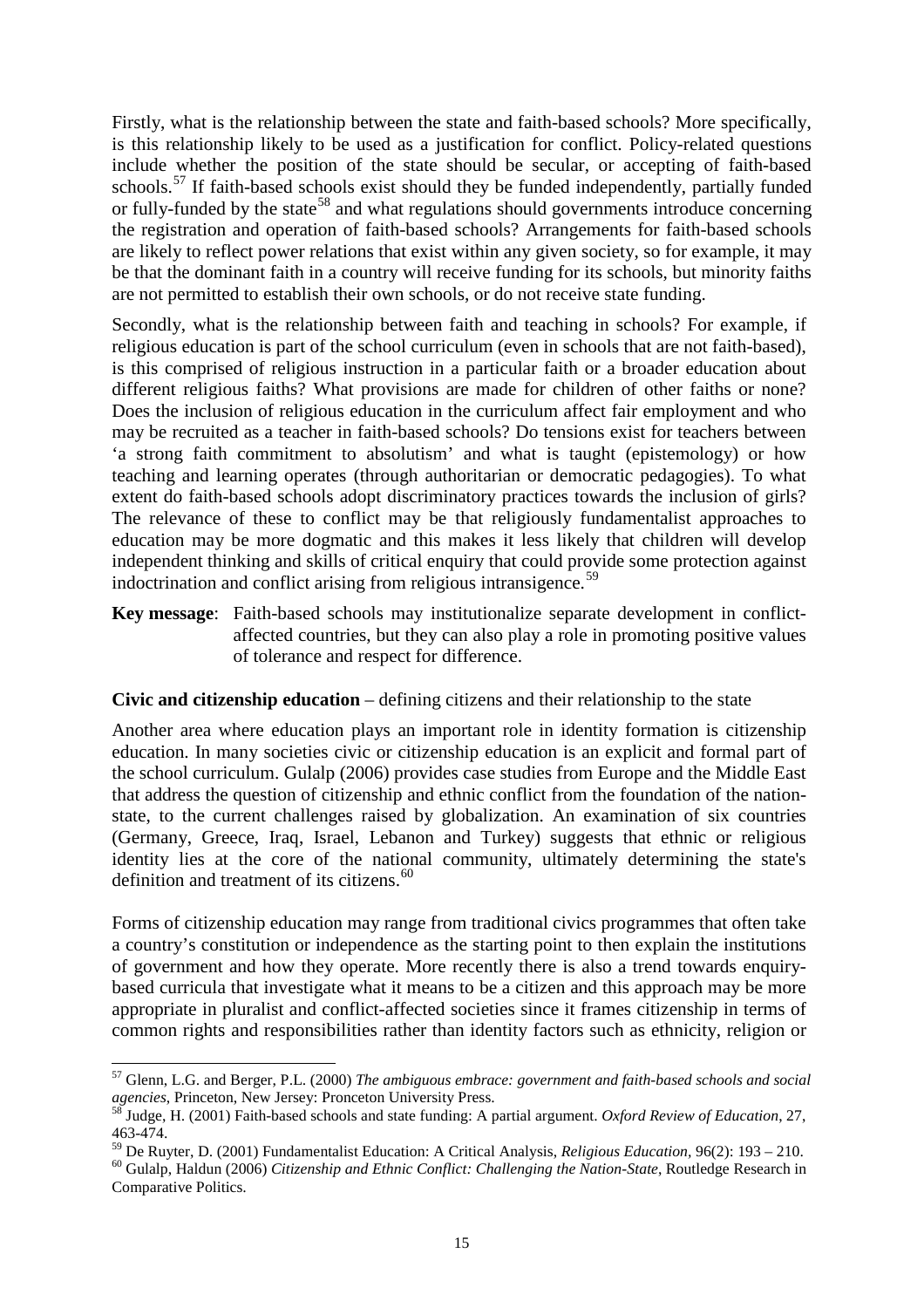Firstly, what is the relationship between the state and faith-based schools? More specifically, is this relationship likely to be used as a justification for conflict. Policy-related questions include whether the position of the state should be secular, or accepting of faith-based schools.<sup>[57](#page-15-0)</sup> If faith-based schools exist should they be funded independently, partially funded or fully-funded by the state<sup>[58](#page-15-1)</sup> and what regulations should governments introduce concerning the registration and operation of faith-based schools? Arrangements for faith-based schools are likely to reflect power relations that exist within any given society, so for example, it may be that the dominant faith in a country will receive funding for its schools, but minority faiths are not permitted to establish their own schools, or do not receive state funding.

Secondly, what is the relationship between faith and teaching in schools? For example, if religious education is part of the school curriculum (even in schools that are not faith-based), is this comprised of religious instruction in a particular faith or a broader education about different religious faiths? What provisions are made for children of other faiths or none? Does the inclusion of religious education in the curriculum affect fair employment and who may be recruited as a teacher in faith-based schools? Do tensions exist for teachers between 'a strong faith commitment to absolutism' and what is taught (epistemology) or how teaching and learning operates (through authoritarian or democratic pedagogies). To what extent do faith-based schools adopt discriminatory practices towards the inclusion of girls? The relevance of these to conflict may be that religiously fundamentalist approaches to education may be more dogmatic and this makes it less likely that children will develop independent thinking and skills of critical enquiry that could provide some protection against indoctrination and conflict arising from religious intransigence. [59](#page-15-2)

**Key message**: Faith-based schools may institutionalize separate development in conflictaffected countries, but they can also play a role in promoting positive values of tolerance and respect for difference.

## **Civic and citizenship education** – defining citizens and their relationship to the state

Another area where education plays an important role in identity formation is citizenship education. In many societies civic or citizenship education is an explicit and formal part of the school curriculum. Gulalp (2006) provides case studies from Europe and the Middle East that address the question of citizenship and ethnic conflict from the foundation of the nationstate, to the current challenges raised by globalization. An examination of six countries (Germany, Greece, Iraq, Israel, Lebanon and Turkey) suggests that ethnic or religious identity lies at the core of the national community, ultimately determining the state's definition and treatment of its citizens.<sup>[60](#page-15-3)</sup>

Forms of citizenship education may range from traditional civics programmes that often take a country's constitution or independence as the starting point to then explain the institutions of government and how they operate. More recently there is also a trend towards enquirybased curricula that investigate what it means to be a citizen and this approach may be more appropriate in pluralist and conflict-affected societies since it frames citizenship in terms of common rights and responsibilities rather than identity factors such as ethnicity, religion or

<span id="page-15-2"></span>

<span id="page-15-0"></span> <sup>57</sup> Glenn, L.G. and Berger, P.L. (2000) *The ambiguous embrace: government and faith-based schools and social agencies*, Princeton, New Jersey: Pronceton University Press.<br><sup>58</sup> Judge, H. (2001) Faith-based schools and state funding: A partial argument. *Oxford Review of Education*, 27,

<span id="page-15-1"></span><sup>463-474.&</sup>lt;br><sup>59</sup> De Ruyter, D. (2001) Fundamentalist Education: A Critical Analysis, *Religious Education*, 96(2): 193 – 210.

<span id="page-15-3"></span> $^{60}$  Gulalp, Haldun (2006) Citizenship and Ethnic Conflict: Challenging the Nation-State, Routledge Research in Comparative Politics.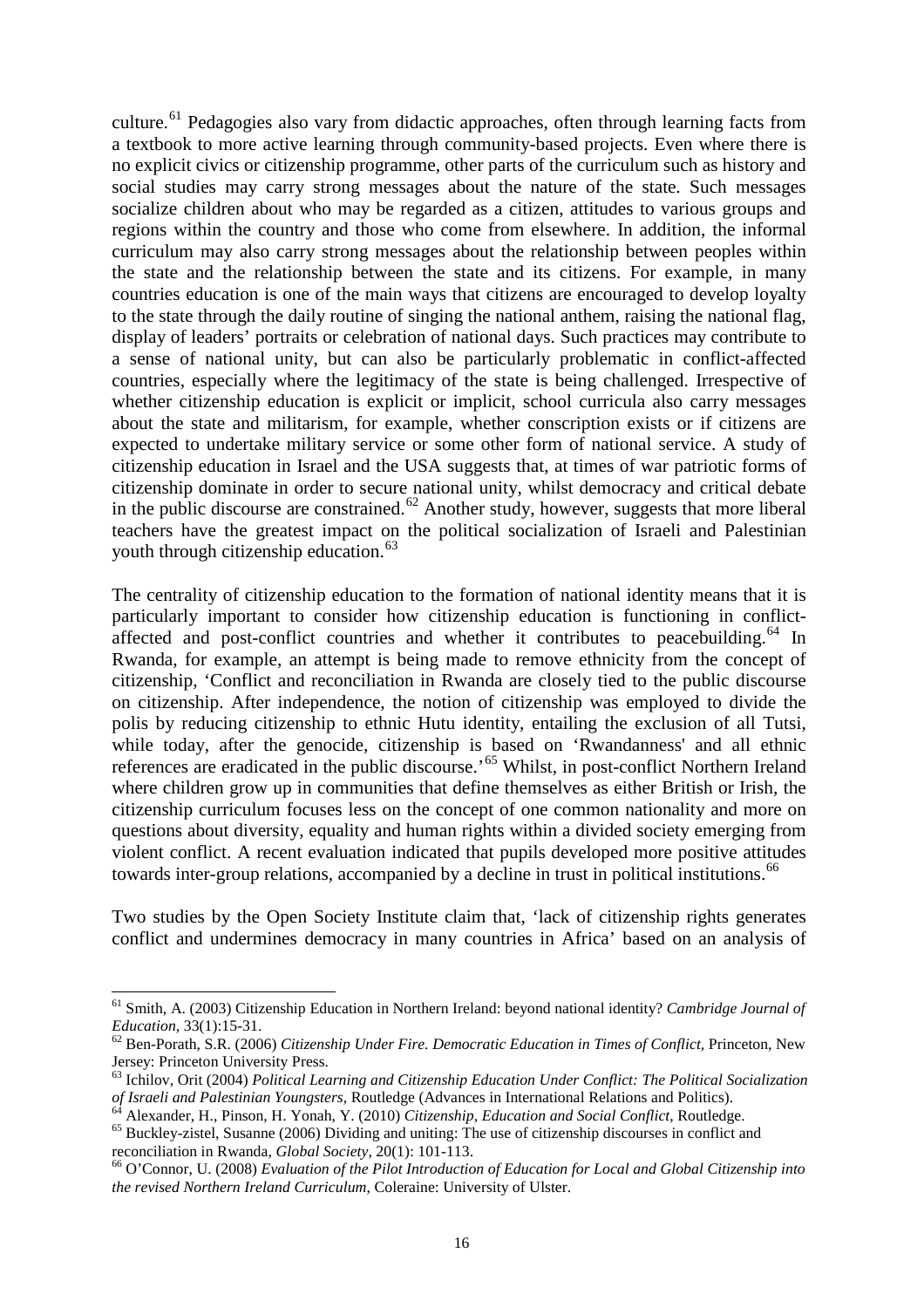culture.<sup>[61](#page-16-0)</sup> Pedagogies also vary from didactic approaches, often through learning facts from a textbook to more active learning through community-based projects. Even where there is no explicit civics or citizenship programme, other parts of the curriculum such as history and social studies may carry strong messages about the nature of the state. Such messages socialize children about who may be regarded as a citizen, attitudes to various groups and regions within the country and those who come from elsewhere. In addition, the informal curriculum may also carry strong messages about the relationship between peoples within the state and the relationship between the state and its citizens. For example, in many countries education is one of the main ways that citizens are encouraged to develop loyalty to the state through the daily routine of singing the national anthem, raising the national flag, display of leaders' portraits or celebration of national days. Such practices may contribute to a sense of national unity, but can also be particularly problematic in conflict-affected countries, especially where the legitimacy of the state is being challenged. Irrespective of whether citizenship education is explicit or implicit, school curricula also carry messages about the state and militarism, for example, whether conscription exists or if citizens are expected to undertake military service or some other form of national service. A study of citizenship education in Israel and the USA suggests that, at times of war patriotic forms of citizenship dominate in order to secure national unity, whilst democracy and critical debate in the public discourse are constrained.<sup>[62](#page-16-1)</sup> Another study, however, suggests that more liberal teachers have the greatest impact on the political socialization of Israeli and Palestinian youth through citizenship education.<sup>[63](#page-16-2)</sup>

The centrality of citizenship education to the formation of national identity means that it is particularly important to consider how citizenship education is functioning in conflict-affected and post-conflict countries and whether it contributes to peacebuilding.<sup>[64](#page-16-3)</sup> In Rwanda, for example, an attempt is being made to remove ethnicity from the concept of citizenship, 'Conflict and reconciliation in Rwanda are closely tied to the public discourse on citizenship. After independence, the notion of citizenship was employed to divide the polis by reducing citizenship to ethnic Hutu identity, entailing the exclusion of all Tutsi, while today, after the genocide, citizenship is based on 'Rwandanness' and all ethnic references are eradicated in the public discourse.'[65](#page-16-4) Whilst, in post-conflict Northern Ireland where children grow up in communities that define themselves as either British or Irish, the citizenship curriculum focuses less on the concept of one common nationality and more on questions about diversity, equality and human rights within a divided society emerging from violent conflict. A recent evaluation indicated that pupils developed more positive attitudes towards inter-group relations, accompanied by a decline in trust in political institutions.<sup>[66](#page-16-5)</sup>

Two studies by the Open Society Institute claim that, 'lack of citizenship rights generates conflict and undermines democracy in many countries in Africa' based on an analysis of

<span id="page-16-0"></span> <sup>61</sup> Smith, A. (2003) Citizenship Education in Northern Ireland: beyond national identity? *Cambridge Journal of* 

<span id="page-16-1"></span>*Education*, 33(1):15-31. <sup>62</sup> Ben-Porath, S.R. (2006) *Citizenship Under Fire. Democratic Education in Times of Conflict,* Princeton, New Jersey: Princeton University Press.

<sup>63</sup> Ichilov, Orit (2004) *Political Learning and Citizenship Education Under Conflict: The Political Socialization* 

<span id="page-16-4"></span>

<span id="page-16-3"></span><span id="page-16-2"></span>of Israeli and Palestinian Youngsters, Routledge (Advances in International Relations and Politics).<br><sup>64</sup> Alexander, H., Pinson, H. Yonah, Y. (2010) *Citizenship, Education and Social Conflict*, Routledge.<br><sup>65</sup> Buckley-zis

<span id="page-16-5"></span><sup>&</sup>lt;sup>66</sup> O'Connor, U. (2008) *Evaluation of the Pilot Introduction of Education for Local and Global Citizenship into the revised Northern Ireland Curriculum*, Coleraine: University of Ulster.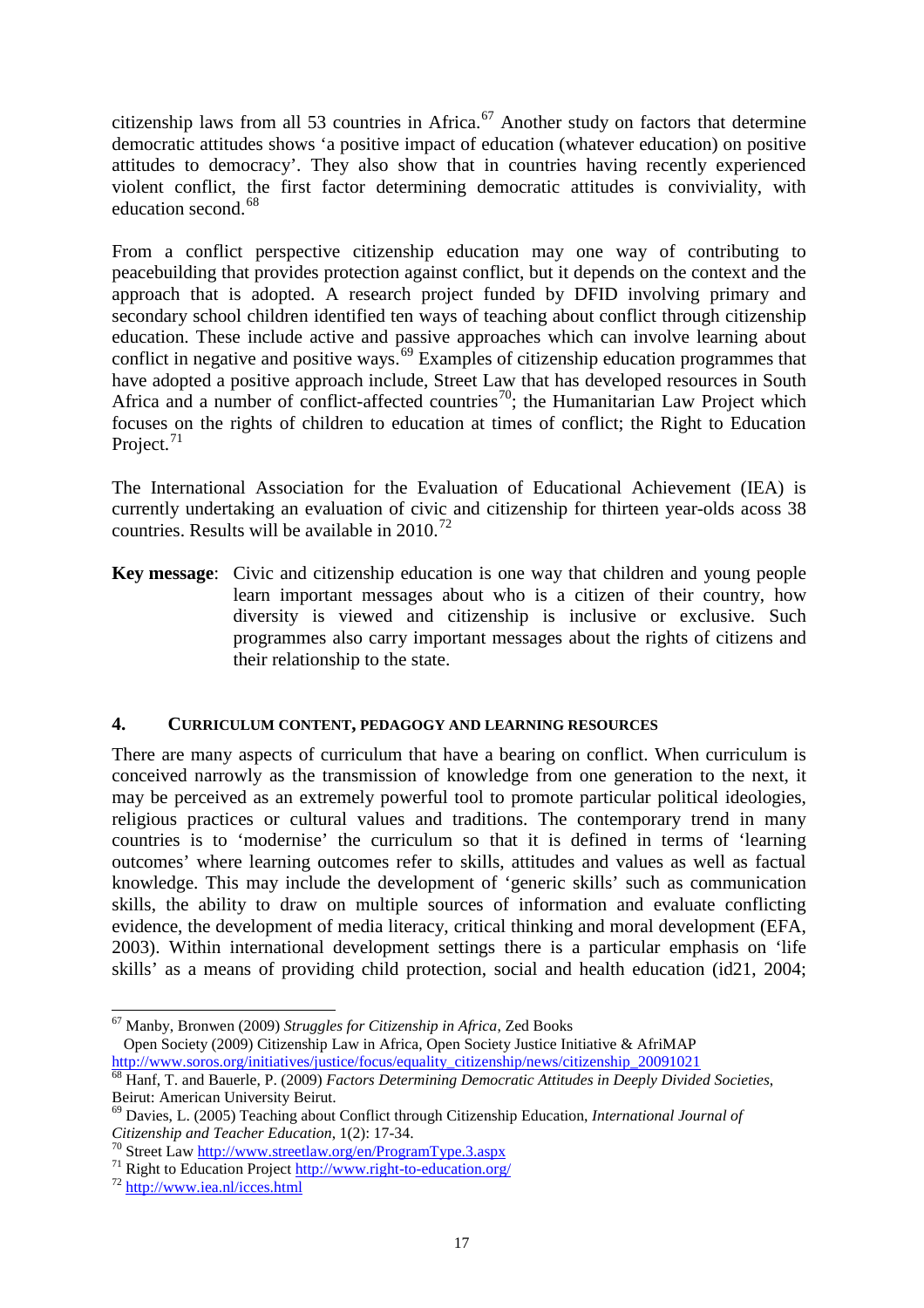citizenship laws from all 53 countries in Africa. $^{67}$  $^{67}$  $^{67}$  Another study on factors that determine democratic attitudes shows 'a positive impact of education (whatever education) on positive attitudes to democracy'. They also show that in countries having recently experienced violent conflict, the first factor determining democratic attitudes is conviviality, with education second. [68](#page-17-1)

From a conflict perspective citizenship education may one way of contributing to peacebuilding that provides protection against conflict, but it depends on the context and the approach that is adopted. A research project funded by DFID involving primary and secondary school children identified ten ways of teaching about conflict through citizenship education. These include active and passive approaches which can involve learning about conflict in negative and positive ways.<sup>[69](#page-17-2)</sup> Examples of citizenship education programmes that have adopted a positive approach include. Street Law that has developed resources in South Africa and a number of conflict-affected countries<sup>[70](#page-17-3)</sup>; the Humanitarian Law Project which focuses on the rights of children to education at times of conflict; the Right to Education Project.<sup>[71](#page-17-4)</sup>

The International Association for the Evaluation of Educational Achievement (IEA) is currently undertaking an evaluation of civic and citizenship for thirteen year-olds acoss 38 countries. Results will be available in  $2010^{72}$  $2010^{72}$  $2010^{72}$ 

**Key message**: Civic and citizenship education is one way that children and young people learn important messages about who is a citizen of their country, how diversity is viewed and citizenship is inclusive or exclusive. Such programmes also carry important messages about the rights of citizens and their relationship to the state.

#### **4. CURRICULUM CONTENT, PEDAGOGY AND LEARNING RESOURCES**

There are many aspects of curriculum that have a bearing on conflict. When curriculum is conceived narrowly as the transmission of knowledge from one generation to the next, it may be perceived as an extremely powerful tool to promote particular political ideologies, religious practices or cultural values and traditions. The contemporary trend in many countries is to 'modernise' the curriculum so that it is defined in terms of 'learning outcomes' where learning outcomes refer to skills, attitudes and values as well as factual knowledge. This may include the development of 'generic skills' such as communication skills, the ability to draw on multiple sources of information and evaluate conflicting evidence, the development of media literacy, critical thinking and moral development (EFA, 2003). Within international development settings there is a particular emphasis on 'life skills' as a means of providing child protection, social and health education (id21, 2004;

<span id="page-17-0"></span> <sup>67</sup> Manby, Bronwen (2009) *Struggles for Citizenship in Africa*, Zed Books Open Society (2009) Citizenship Law in Africa, Open Society Justice Initiative & AfriMAP

<span id="page-17-1"></span>[http://www.soros.org/initiatives/justice/focus/equality\\_citizenship/news/citizenship\\_20091021](http://www.soros.org/initiatives/justice/focus/equality_citizenship/news/citizenship_20091021) 68 Hanf, T. and Bauerle, P. (2009) *Factors Determining Democratic Attitudes in Deeply Divided Societies*, Beirut: American University Beirut.<br><sup>69</sup> Davies, L. (2005) Teaching about Conflict through Citizenship Education, *International Journal of* 

<span id="page-17-2"></span>*Citizenship and Teacher Education*, 1(2): 17-34.<br><sup>70</sup> Street Law <u>http://www.streetlaw.org/en/ProgramType.3.aspx</u><br><sup>71</sup> Right to Education Project <u>http://www.right-to-education.org/</u><br><sup>72</sup> <http://www.iea.nl/icces.html>

<span id="page-17-3"></span>

<span id="page-17-4"></span>

<span id="page-17-5"></span>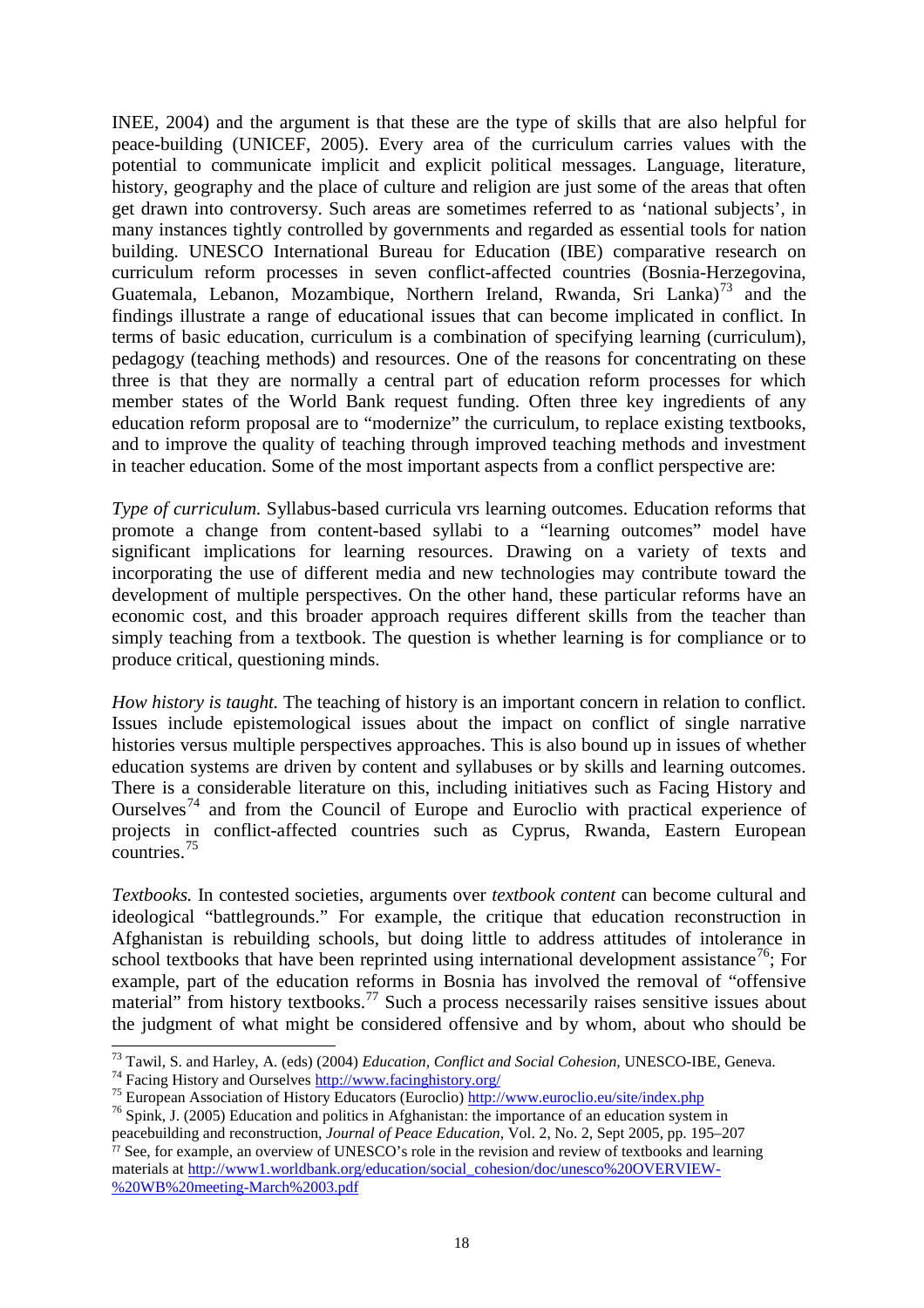INEE, 2004) and the argument is that these are the type of skills that are also helpful for peace-building (UNICEF, 2005). Every area of the curriculum carries values with the potential to communicate implicit and explicit political messages. Language, literature, history, geography and the place of culture and religion are just some of the areas that often get drawn into controversy. Such areas are sometimes referred to as 'national subjects', in many instances tightly controlled by governments and regarded as essential tools for nation building. UNESCO International Bureau for Education (IBE) comparative research on curriculum reform processes in seven conflict-affected countries (Bosnia-Herzegovina, Guatemala, Lebanon, Mozambique, Northern Ireland, Rwanda, Sri Lanka)<sup>[73](#page-18-0)</sup> and the findings illustrate a range of educational issues that can become implicated in conflict. In terms of basic education, curriculum is a combination of specifying learning (curriculum), pedagogy (teaching methods) and resources. One of the reasons for concentrating on these three is that they are normally a central part of education reform processes for which member states of the World Bank request funding. Often three key ingredients of any education reform proposal are to "modernize" the curriculum, to replace existing textbooks, and to improve the quality of teaching through improved teaching methods and investment in teacher education. Some of the most important aspects from a conflict perspective are:

*Type of curriculum.* Syllabus-based curricula vrs learning outcomes. Education reforms that promote a change from content-based syllabi to a "learning outcomes" model have significant implications for learning resources. Drawing on a variety of texts and incorporating the use of different media and new technologies may contribute toward the development of multiple perspectives. On the other hand, these particular reforms have an economic cost, and this broader approach requires different skills from the teacher than simply teaching from a textbook. The question is whether learning is for compliance or to produce critical, questioning minds.

*How history is taught.* The teaching of history is an important concern in relation to conflict. Issues include epistemological issues about the impact on conflict of single narrative histories versus multiple perspectives approaches. This is also bound up in issues of whether education systems are driven by content and syllabuses or by skills and learning outcomes. There is a considerable literature on this, including initiatives such as Facing History and Ourselves<sup>[74](#page-18-1)</sup> and from the Council of Europe and Euroclio with practical experience of projects in conflict-affected countries such as Cyprus, Rwanda, Eastern European  $countries.<sup>75</sup>$  $countries.<sup>75</sup>$  $countries.<sup>75</sup>$ 

*Textbooks.* In contested societies, arguments over *textbook content* can become cultural and ideological "battlegrounds." For example, the critique that education reconstruction in Afghanistan is rebuilding schools, but doing little to address attitudes of intolerance in school textbooks that have been reprinted using international development assistance<sup>[76](#page-18-3)</sup>; For example, part of the education reforms in Bosnia has involved the removal of "offensive material" from history textbooks.<sup>[77](#page-18-4)</sup> Such a process necessarily raises sensitive issues about the judgment of what might be considered offensive and by whom, about who should be

[%20WB%20meeting-March%2003.pdf](http://www1.worldbank.org/education/social_cohesion/doc/unesco%20OVERVIEW-%20WB%20meeting-March%2003.pdf)

<span id="page-18-0"></span><sup>&</sup>lt;sup>73</sup> Tawil, S. and Harley, A. (eds) (2004) *Education, Conflict and Social Cohesion*, UNESCO-IBE, Geneva.<br><sup>74</sup> Facing History and Ourselves **http://www.facinghistory.org/** 

<span id="page-18-2"></span><span id="page-18-1"></span><sup>&</sup>lt;sup>75</sup> European Association of History Educators (Euroclio)  $\frac{http://www.euroclio.eu/site/index.php}{http://www.euroclio.eu/site/index.php}$ <br><sup>76</sup> Spink, J. (2005) Education and politics in Afghanistan: the importance of an education system in

<span id="page-18-4"></span><span id="page-18-3"></span>peacebuilding and reconstruction, *Journal of Peace Education*, Vol. 2, No. 2, Sept 2005, pp. 195–207  $\frac{7}{7}$  See, for example, an overview of UNESCO's role in the revision and review of textbooks and learning materials at [http://www1.worldbank.org/education/social\\_cohesion/doc/unesco%20OVERVIEW-](http://www1.worldbank.org/education/social_cohesion/doc/unesco%20OVERVIEW-%20WB%20meeting-March%2003.pdf)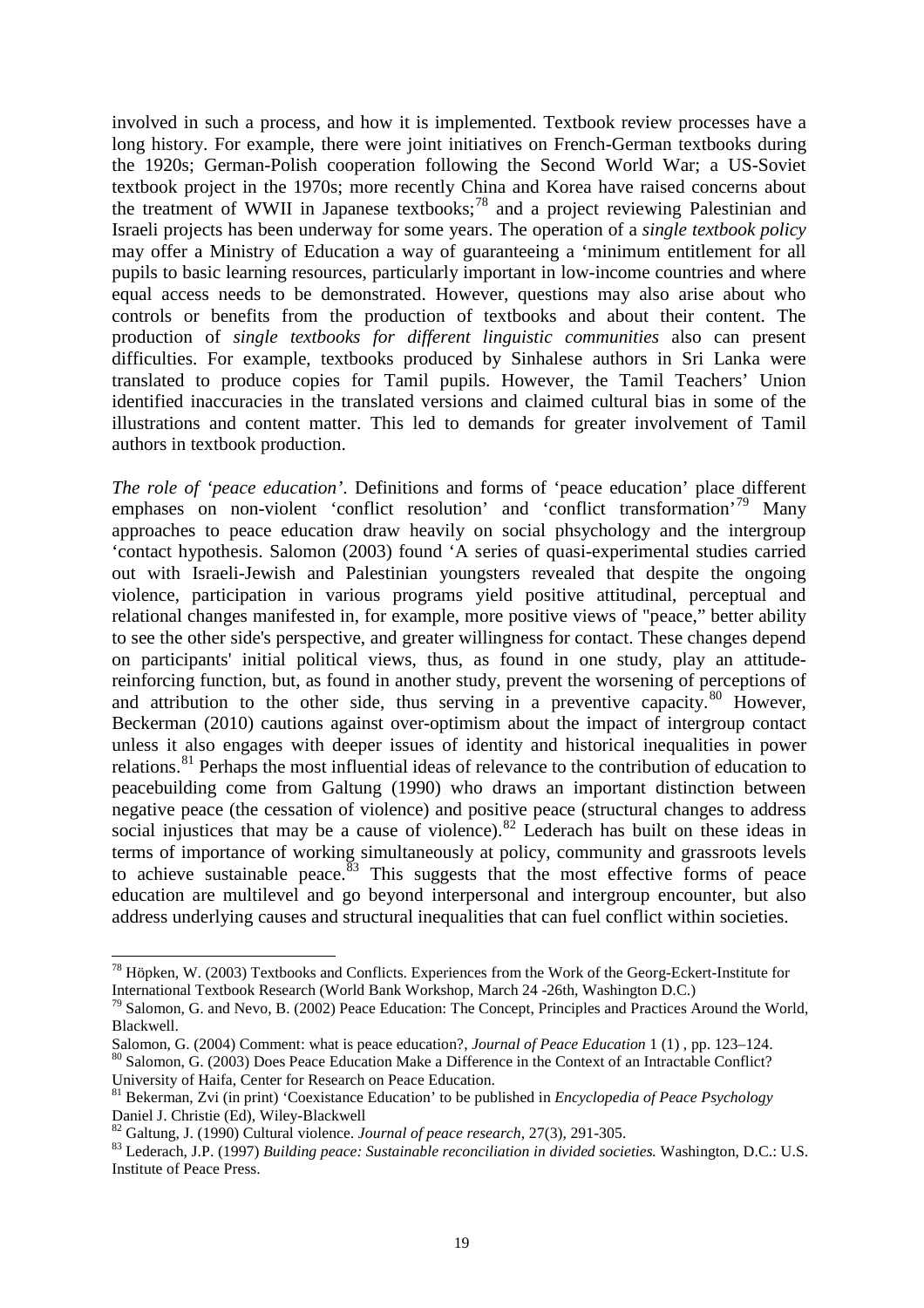involved in such a process, and how it is implemented. Textbook review processes have a long history. For example, there were joint initiatives on French-German textbooks during the 1920s; German-Polish cooperation following the Second World War; a US-Soviet textbook project in the 1970s; more recently China and Korea have raised concerns about the treatment of WWII in Japanese textbooks;<sup>[78](#page-19-0)</sup> and a project reviewing Palestinian and Israeli projects has been underway for some years. The operation of a *single textbook policy* may offer a Ministry of Education a way of guaranteeing a 'minimum entitlement for all pupils to basic learning resources, particularly important in low-income countries and where equal access needs to be demonstrated. However, questions may also arise about who controls or benefits from the production of textbooks and about their content. The production of *single textbooks for different linguistic communities* also can present difficulties. For example, textbooks produced by Sinhalese authors in Sri Lanka were translated to produce copies for Tamil pupils. However, the Tamil Teachers' Union identified inaccuracies in the translated versions and claimed cultural bias in some of the illustrations and content matter. This led to demands for greater involvement of Tamil authors in textbook production.

*The role of 'peace education'*. Definitions and forms of 'peace education' place different emphases on non-violent 'conflict resolution' and 'conflict transformation'<sup>[79](#page-19-1)</sup> Many approaches to peace education draw heavily on social phsychology and the intergroup 'contact hypothesis. Salomon (2003) found 'A series of quasi-experimental studies carried out with Israeli-Jewish and Palestinian youngsters revealed that despite the ongoing violence, participation in various programs yield positive attitudinal, perceptual and relational changes manifested in, for example, more positive views of "peace," better ability to see the other side's perspective, and greater willingness for contact. These changes depend on participants' initial political views, thus, as found in one study, play an attitudereinforcing function, but, as found in another study, prevent the worsening of perceptions of and attribution to the other side, thus serving in a preventive capacity.<sup>[80](#page-19-2)</sup> However, Beckerman (2010) cautions against over-optimism about the impact of intergroup contact unless it also engages with deeper issues of identity and historical inequalities in power relations.<sup>[81](#page-19-3)</sup> Perhaps the most influential ideas of relevance to the contribution of education to peacebuilding come from Galtung (1990) who draws an important distinction between negative peace (the cessation of violence) and positive peace (structural changes to address social injustices that may be a cause of violence).<sup>[82](#page-19-4)</sup> Lederach has built on these ideas in terms of importance of working simultaneously at policy, community and grassroots levels to achieve sustainable peace.<sup>[83](#page-19-5)</sup> This suggests that the most effective forms of peace education are multilevel and go beyond interpersonal and intergroup encounter, but also address underlying causes and structural inequalities that can fuel conflict within societies.

<span id="page-19-0"></span> <sup>78</sup> Höpken, W. (2003) Textbooks and Conflicts. Experiences from the Work of the Georg-Eckert-Institute for International Textbook Research (World Bank Workshop, March 24 -26th, Washington D.C.)

<span id="page-19-1"></span><sup>&</sup>lt;sup>79</sup> Salomon, G. and Nevo, B. (2002) Peace Education: The Concept, Principles and Practices Around the World, Blackwell.<br>Salomon, G. (2004) Comment: what is peace education?, Journal of Peace Education 1 (1), pp. 123–124.

<span id="page-19-2"></span><sup>&</sup>lt;sup>80</sup> Salomon, G. (2003) Does Peace Education Make a Difference in the Context of an Intractable Conflict? University of Haifa, Center for Research on Peace Education.

<span id="page-19-3"></span><sup>&</sup>lt;sup>81</sup> Bekerman, Zvi (in print) 'Coexistance Education' to be published in *Encyclopedia of Peace Psychology* Daniel J. Christie (Ed), Wiley-Blackwell

<span id="page-19-5"></span><span id="page-19-4"></span> $^{82}$  Galtung, J. (1990) Cultural violence. *Journal of peace research*, 27(3), 291-305.<br><sup>83</sup> Lederach, J.P. (1997) *Building peace: Sustainable reconciliation in divided societies*. Washington, D.C.: U.S. Institute of Peace Press.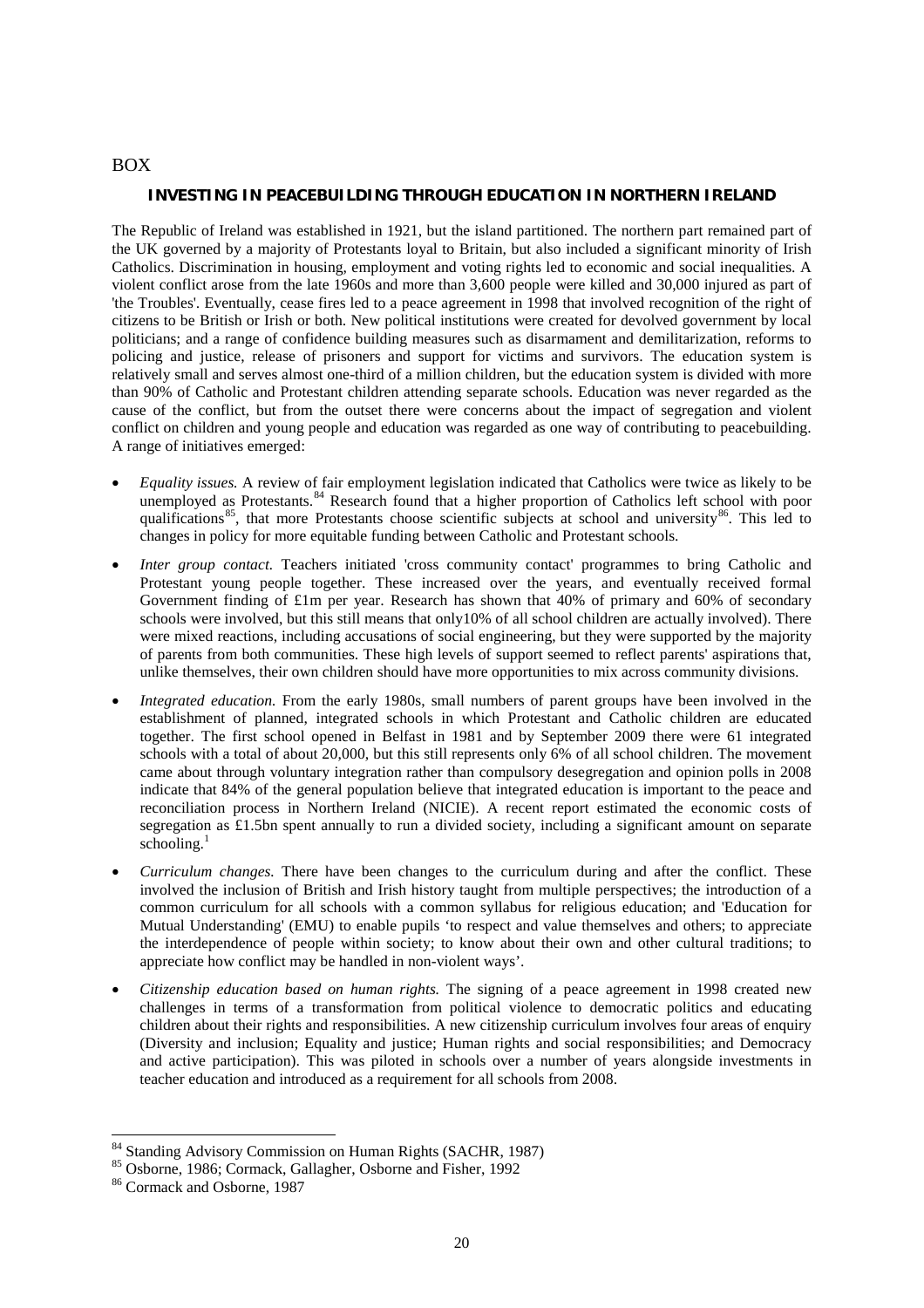#### BOX

#### **INVESTING IN PEACEBUILDING THROUGH EDUCATION IN NORTHERN IRELAND**

The Republic of Ireland was established in 1921, but the island partitioned. The northern part remained part of the UK governed by a majority of Protestants loyal to Britain, but also included a significant minority of Irish Catholics. Discrimination in housing, employment and voting rights led to economic and social inequalities. A violent conflict arose from the late 1960s and more than 3,600 people were killed and 30,000 injured as part of 'the Troubles'. Eventually, cease fires led to a peace agreement in 1998 that involved recognition of the right of citizens to be British or Irish or both. New political institutions were created for devolved government by local politicians; and a range of confidence building measures such as disarmament and demilitarization, reforms to policing and justice, release of prisoners and support for victims and survivors. The education system is relatively small and serves almost one-third of a million children, but the education system is divided with more than 90% of Catholic and Protestant children attending separate schools. Education was never regarded as the cause of the conflict, but from the outset there were concerns about the impact of segregation and violent conflict on children and young people and education was regarded as one way of contributing to peacebuilding. A range of initiatives emerged:

- *Equality issues.* A review of fair employment legislation indicated that Catholics were twice as likely to be unemployed as Protestants.<sup>[84](#page-20-0)</sup> Research found that a higher proportion of Catholics left school with poor qualifications<sup>[85](#page-20-1)</sup>, that more Protestants choose scientific subjects at school and university<sup>[86](#page-20-2)</sup>. This led to changes in policy for more equitable funding between Catholic and Protestant schools.
- *Inter group contact.* Teachers initiated 'cross community contact' programmes to bring Catholic and Protestant young people together. These increased over the years, and eventually received formal Government finding of £1m per year. Research has shown that 40% of primary and 60% of secondary schools were involved, but this still means that only10% of all school children are actually involved). There were mixed reactions, including accusations of social engineering, but they were supported by the majority of parents from both communities. These high levels of support seemed to reflect parents' aspirations that, unlike themselves, their own children should have more opportunities to mix across community divisions.
- *Integrated education.* From the early 1980s, small numbers of parent groups have been involved in the establishment of planned, integrated schools in which Protestant and Catholic children are educated together. The first school opened in Belfast in 1981 and by September 2009 there were 61 integrated schools with a total of about 20,000, but this still represents only 6% of all school children. The movement came about through voluntary integration rather than compulsory desegregation and opinion polls in 2008 indicate that 84% of the general population believe that integrated education is important to the peace and reconciliation process in Northern Ireland (NICIE). A recent report estimated the economic costs of segregation as £1.5bn spent annually to run a divided society, including a significant amount on separate schooling. $<sup>1</sup>$ </sup>
- *Curriculum changes.* There have been changes to the curriculum during and after the conflict. These involved the inclusion of British and Irish history taught from multiple perspectives; the introduction of a common curriculum for all schools with a common syllabus for religious education; and 'Education for Mutual Understanding' (EMU) to enable pupils 'to respect and value themselves and others; to appreciate the interdependence of people within society; to know about their own and other cultural traditions; to appreciate how conflict may be handled in non-violent ways'.
- *Citizenship education based on human rights.* The signing of a peace agreement in 1998 created new challenges in terms of a transformation from political violence to democratic politics and educating children about their rights and responsibilities. A new citizenship curriculum involves four areas of enquiry (Diversity and inclusion; Equality and justice; Human rights and social responsibilities; and Democracy and active participation). This was piloted in schools over a number of years alongside investments in teacher education and introduced as a requirement for all schools from 2008.

<span id="page-20-0"></span><sup>&</sup>lt;sup>84</sup> Standing Advisory Commission on Human Rights (SACHR, 1987)<br><sup>85</sup> Osborne, 1986; Cormack, Gallagher, Osborne and Fisher, 1992<br><sup>86</sup> Cormack and Osborne, 1987

<span id="page-20-1"></span>

<span id="page-20-2"></span>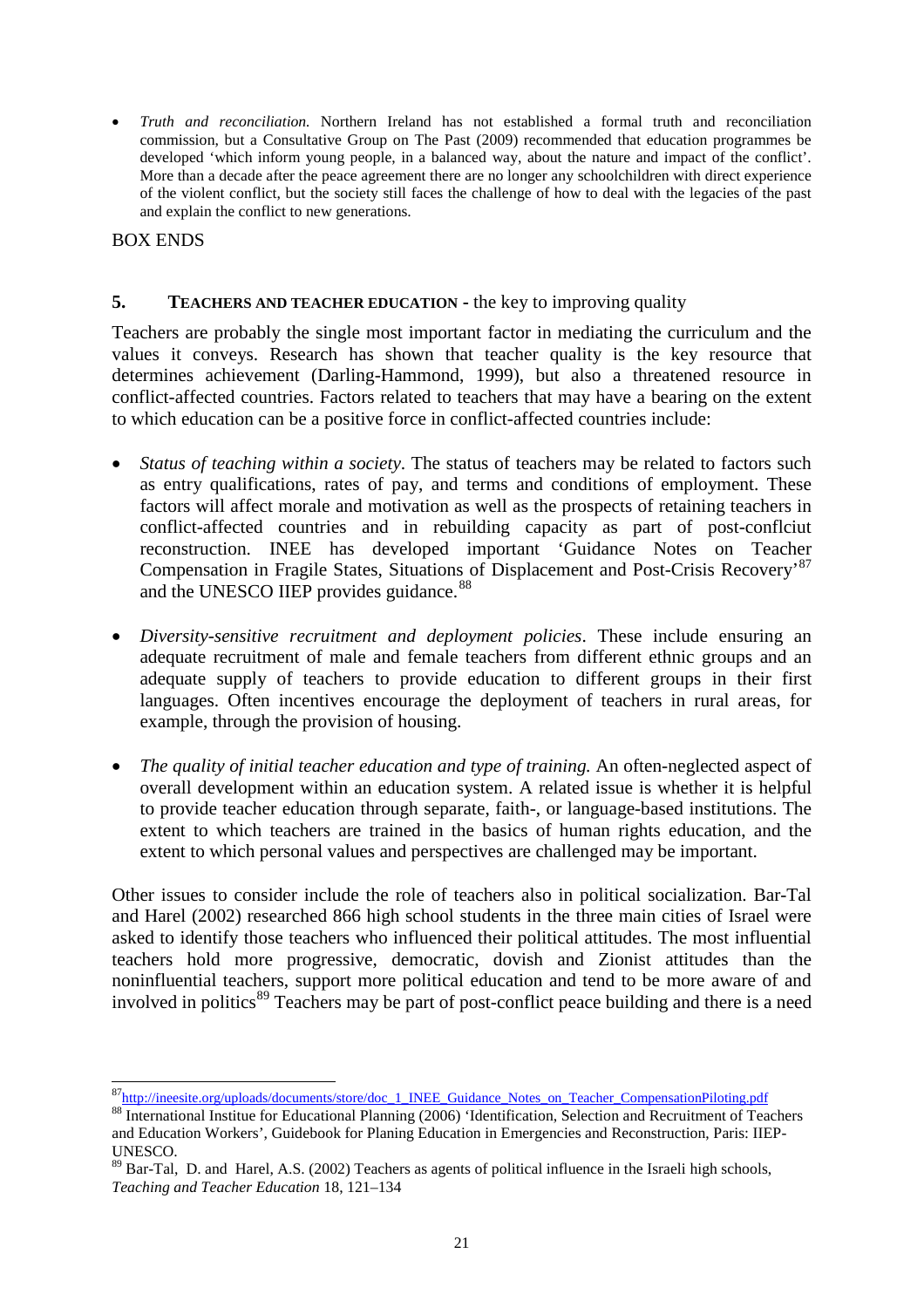• *Truth and reconciliation.* Northern Ireland has not established a formal truth and reconciliation commission, but a Consultative Group on The Past (2009) recommended that education programmes be developed 'which inform young people, in a balanced way, about the nature and impact of the conflict'. More than a decade after the peace agreement there are no longer any schoolchildren with direct experience of the violent conflict, but the society still faces the challenge of how to deal with the legacies of the past and explain the conflict to new generations.

## BOX ENDS

## **5. TEACHERS AND TEACHER EDUCATION -** the key to improving quality

Teachers are probably the single most important factor in mediating the curriculum and the values it conveys. Research has shown that teacher quality is the key resource that determines achievement (Darling-Hammond, 1999), but also a threatened resource in conflict-affected countries. Factors related to teachers that may have a bearing on the extent to which education can be a positive force in conflict-affected countries include:

- *Status of teaching within a society*. The status of teachers may be related to factors such as entry qualifications, rates of pay, and terms and conditions of employment. These factors will affect morale and motivation as well as the prospects of retaining teachers in conflict-affected countries and in rebuilding capacity as part of post-conflciut reconstruction. INEE has developed important 'Guidance Notes on Teacher Compensation in Fragile States, Situations of Displacement and Post-Crisis Recovery'[87](#page-21-0) and the UNESCO IIEP provides guidance.<sup>[88](#page-21-1)</sup>
- *Diversity-sensitive recruitment and deployment policies*. These include ensuring an adequate recruitment of male and female teachers from different ethnic groups and an adequate supply of teachers to provide education to different groups in their first languages. Often incentives encourage the deployment of teachers in rural areas, for example, through the provision of housing.
- *The quality of initial teacher education and type of training.* An often-neglected aspect of overall development within an education system. A related issue is whether it is helpful to provide teacher education through separate, faith-, or language-based institutions. The extent to which teachers are trained in the basics of human rights education, and the extent to which personal values and perspectives are challenged may be important.

Other issues to consider include the role of teachers also in political socialization. Bar-Tal and Harel (2002) researched 866 high school students in the three main cities of Israel were asked to identify those teachers who influenced their political attitudes. The most influential teachers hold more progressive, democratic, dovish and Zionist attitudes than the noninfluential teachers, support more political education and tend to be more aware of and involved in politics<sup>[89](#page-21-2)</sup> Teachers may be part of post-conflict peace building and there is a need

<sup>87&</sup>lt;br>[http://ineesite.org/uploads/documents/store/doc\\_1\\_INEE\\_Guidance\\_Notes\\_on\\_Teacher\\_CompensationPiloting.pdf](http://ineesite.org/uploads/documents/store/doc_1_INEE_Guidance_Notes_on_Teacher_CompensationPiloting.pdf)

<span id="page-21-1"></span><span id="page-21-0"></span><sup>88</sup> International Institue for Educational Planning (2006) 'Identification, Selection and Recruitment of Teachers and Education Workers', Guidebook for Planing Education in Emergencies and Reconstruction, Paris: IIEP-UNESCO.

<span id="page-21-2"></span><sup>&</sup>lt;sup>89</sup> Bar-Tal, D. and Harel, A.S. (2002) Teachers as agents of political influence in the Israeli high schools, *Teaching and Teacher Education* 18, 121–134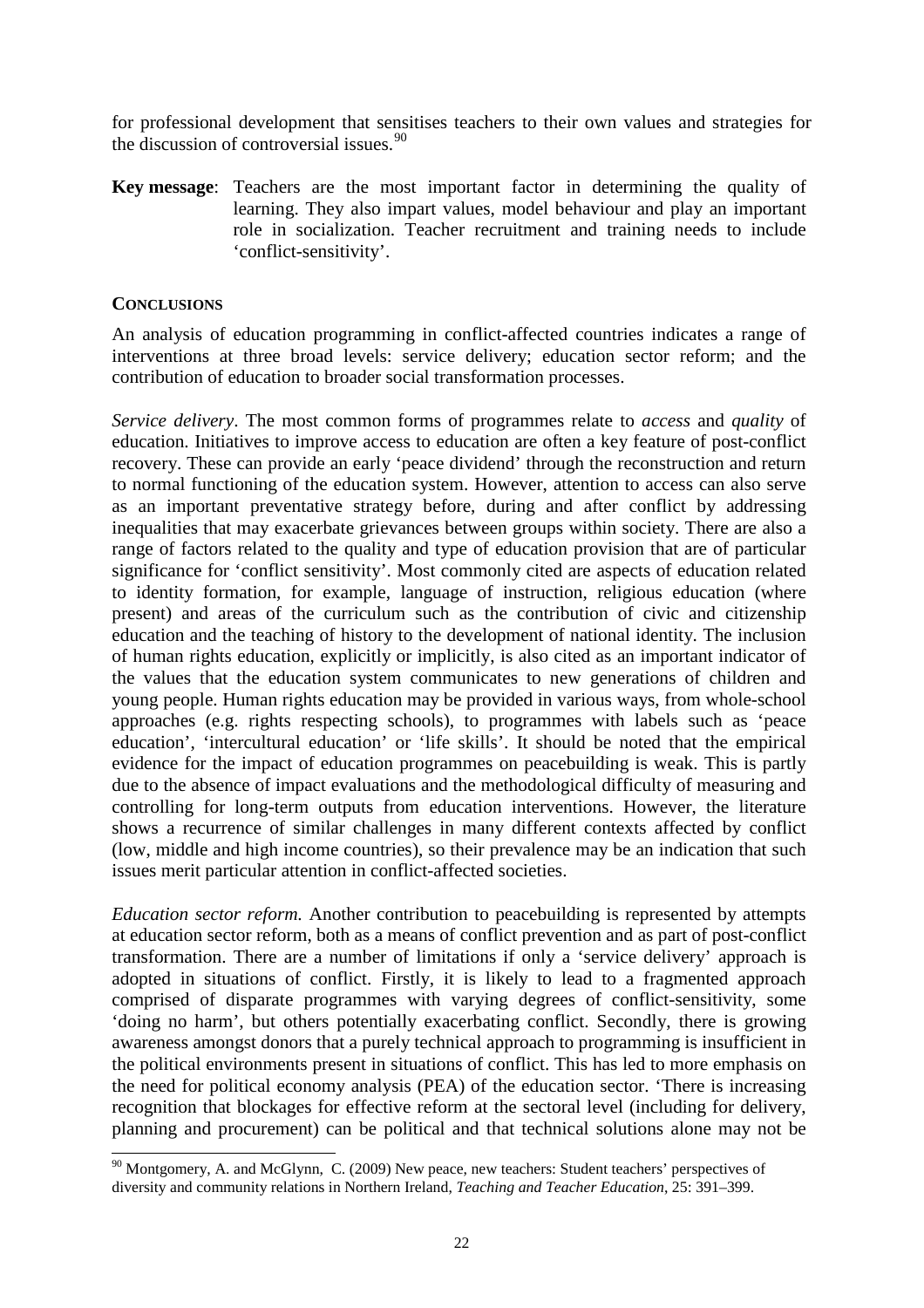for professional development that sensitises teachers to their own values and strategies for the discussion of controversial issues.  $90$ 

**Key message**: Teachers are the most important factor in determining the quality of learning. They also impart values, model behaviour and play an important role in socialization. Teacher recruitment and training needs to include 'conflict-sensitivity'.

## **CONCLUSIONS**

An analysis of education programming in conflict-affected countries indicates a range of interventions at three broad levels: service delivery; education sector reform; and the contribution of education to broader social transformation processes.

*Service delivery*. The most common forms of programmes relate to *access* and *quality* of education. Initiatives to improve access to education are often a key feature of post-conflict recovery. These can provide an early 'peace dividend' through the reconstruction and return to normal functioning of the education system. However, attention to access can also serve as an important preventative strategy before, during and after conflict by addressing inequalities that may exacerbate grievances between groups within society. There are also a range of factors related to the quality and type of education provision that are of particular significance for 'conflict sensitivity'. Most commonly cited are aspects of education related to identity formation, for example, language of instruction, religious education (where present) and areas of the curriculum such as the contribution of civic and citizenship education and the teaching of history to the development of national identity. The inclusion of human rights education, explicitly or implicitly, is also cited as an important indicator of the values that the education system communicates to new generations of children and young people. Human rights education may be provided in various ways, from whole-school approaches (e.g. rights respecting schools), to programmes with labels such as 'peace education', 'intercultural education' or 'life skills'. It should be noted that the empirical evidence for the impact of education programmes on peacebuilding is weak. This is partly due to the absence of impact evaluations and the methodological difficulty of measuring and controlling for long-term outputs from education interventions. However, the literature shows a recurrence of similar challenges in many different contexts affected by conflict (low, middle and high income countries), so their prevalence may be an indication that such issues merit particular attention in conflict-affected societies.

*Education sector reform.* Another contribution to peacebuilding is represented by attempts at education sector reform, both as a means of conflict prevention and as part of post-conflict transformation. There are a number of limitations if only a 'service delivery' approach is adopted in situations of conflict. Firstly, it is likely to lead to a fragmented approach comprised of disparate programmes with varying degrees of conflict-sensitivity, some 'doing no harm', but others potentially exacerbating conflict. Secondly, there is growing awareness amongst donors that a purely technical approach to programming is insufficient in the political environments present in situations of conflict. This has led to more emphasis on the need for political economy analysis (PEA) of the education sector. 'There is increasing recognition that blockages for effective reform at the sectoral level (including for delivery, planning and procurement) can be political and that technical solutions alone may not be

<span id="page-22-0"></span><sup>&</sup>lt;sup>90</sup> Montgomery, A. and McGlynn, C. (2009) New peace, new teachers: Student teachers' perspectives of diversity and community relations in Northern Ireland, *Teaching and Teacher Education*, 25: 391–399.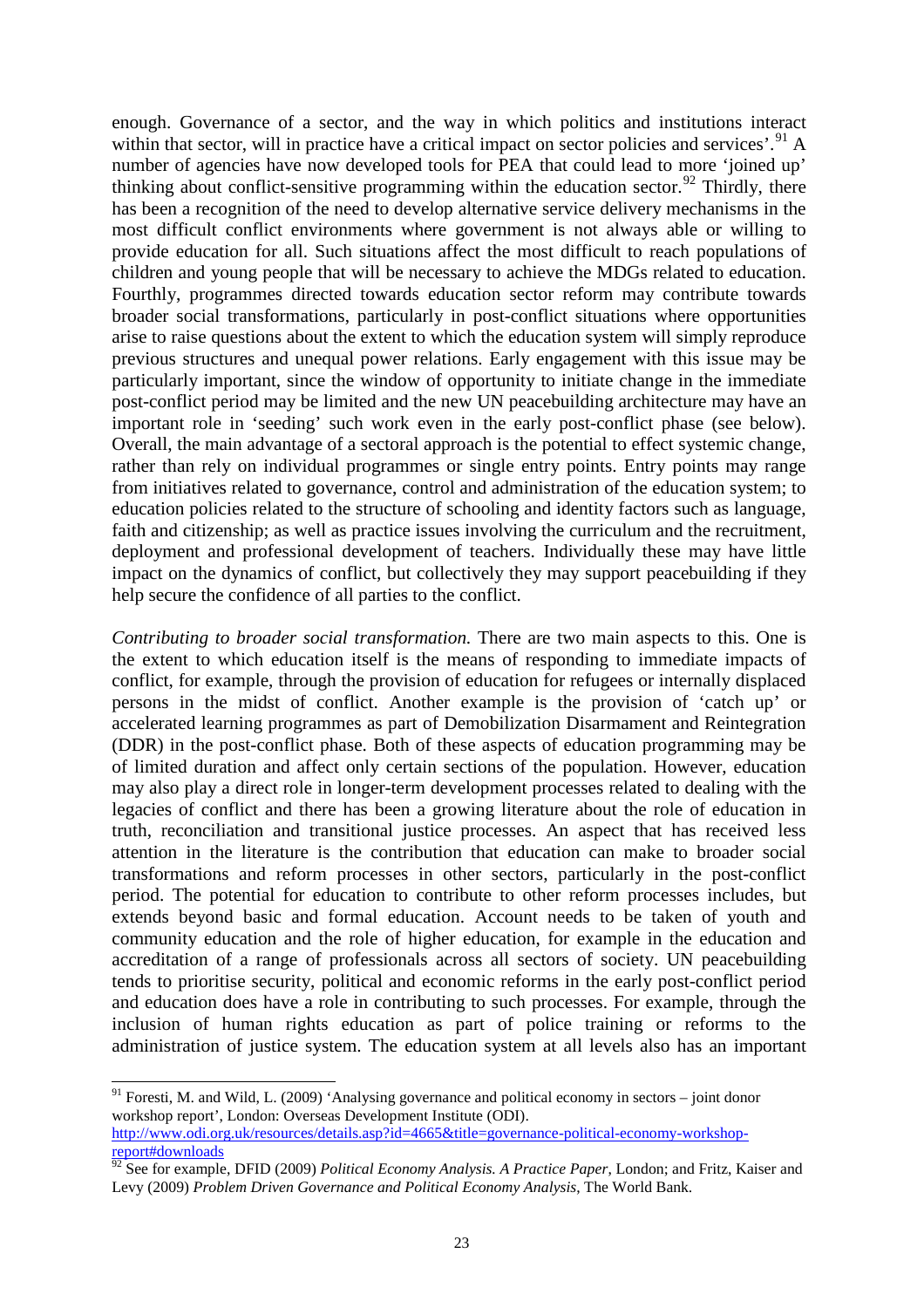enough. Governance of a sector, and the way in which politics and institutions interact within that sector, will in practice have a critical impact on sector policies and services'.  $^{91}$  $^{91}$  $^{91}$  A number of agencies have now developed tools for PEA that could lead to more 'joined up' thinking about conflict-sensitive programming within the education sector.<sup>[92](#page-23-1)</sup> Thirdly, there has been a recognition of the need to develop alternative service delivery mechanisms in the most difficult conflict environments where government is not always able or willing to provide education for all. Such situations affect the most difficult to reach populations of children and young people that will be necessary to achieve the MDGs related to education. Fourthly, programmes directed towards education sector reform may contribute towards broader social transformations, particularly in post-conflict situations where opportunities arise to raise questions about the extent to which the education system will simply reproduce previous structures and unequal power relations. Early engagement with this issue may be particularly important, since the window of opportunity to initiate change in the immediate post-conflict period may be limited and the new UN peacebuilding architecture may have an important role in 'seeding' such work even in the early post-conflict phase (see below). Overall, the main advantage of a sectoral approach is the potential to effect systemic change, rather than rely on individual programmes or single entry points. Entry points may range from initiatives related to governance, control and administration of the education system; to education policies related to the structure of schooling and identity factors such as language, faith and citizenship; as well as practice issues involving the curriculum and the recruitment, deployment and professional development of teachers. Individually these may have little impact on the dynamics of conflict, but collectively they may support peacebuilding if they help secure the confidence of all parties to the conflict.

*Contributing to broader social transformation.* There are two main aspects to this. One is the extent to which education itself is the means of responding to immediate impacts of conflict, for example, through the provision of education for refugees or internally displaced persons in the midst of conflict. Another example is the provision of 'catch up' or accelerated learning programmes as part of Demobilization Disarmament and Reintegration (DDR) in the post-conflict phase. Both of these aspects of education programming may be of limited duration and affect only certain sections of the population. However, education may also play a direct role in longer-term development processes related to dealing with the legacies of conflict and there has been a growing literature about the role of education in truth, reconciliation and transitional justice processes. An aspect that has received less attention in the literature is the contribution that education can make to broader social transformations and reform processes in other sectors, particularly in the post-conflict period. The potential for education to contribute to other reform processes includes, but extends beyond basic and formal education. Account needs to be taken of youth and community education and the role of higher education, for example in the education and accreditation of a range of professionals across all sectors of society. UN peacebuilding tends to prioritise security, political and economic reforms in the early post-conflict period and education does have a role in contributing to such processes. For example, through the inclusion of human rights education as part of police training or reforms to the administration of justice system. The education system at all levels also has an important

<span id="page-23-0"></span> $91$  Foresti, M. and Wild, L. (2009) 'Analysing governance and political economy in sectors – joint donor workshop report', London: Overseas Development Institute (ODI). [http://www.odi.org.uk/resources/details.asp?id=4665&title=governance-political-economy-workshop](http://www.odi.org.uk/resources/details.asp?id=4665&title=governance-political-economy-workshop-report#downloads)[report#downloads](http://www.odi.org.uk/resources/details.asp?id=4665&title=governance-political-economy-workshop-report#downloads)

<span id="page-23-1"></span><sup>92</sup> See for example, DFID (2009) *Political Economy Analysis. A Practice Paper*, London; and Fritz, Kaiser and Levy (2009) *Problem Driven Governance and Political Economy Analysis*, The World Bank.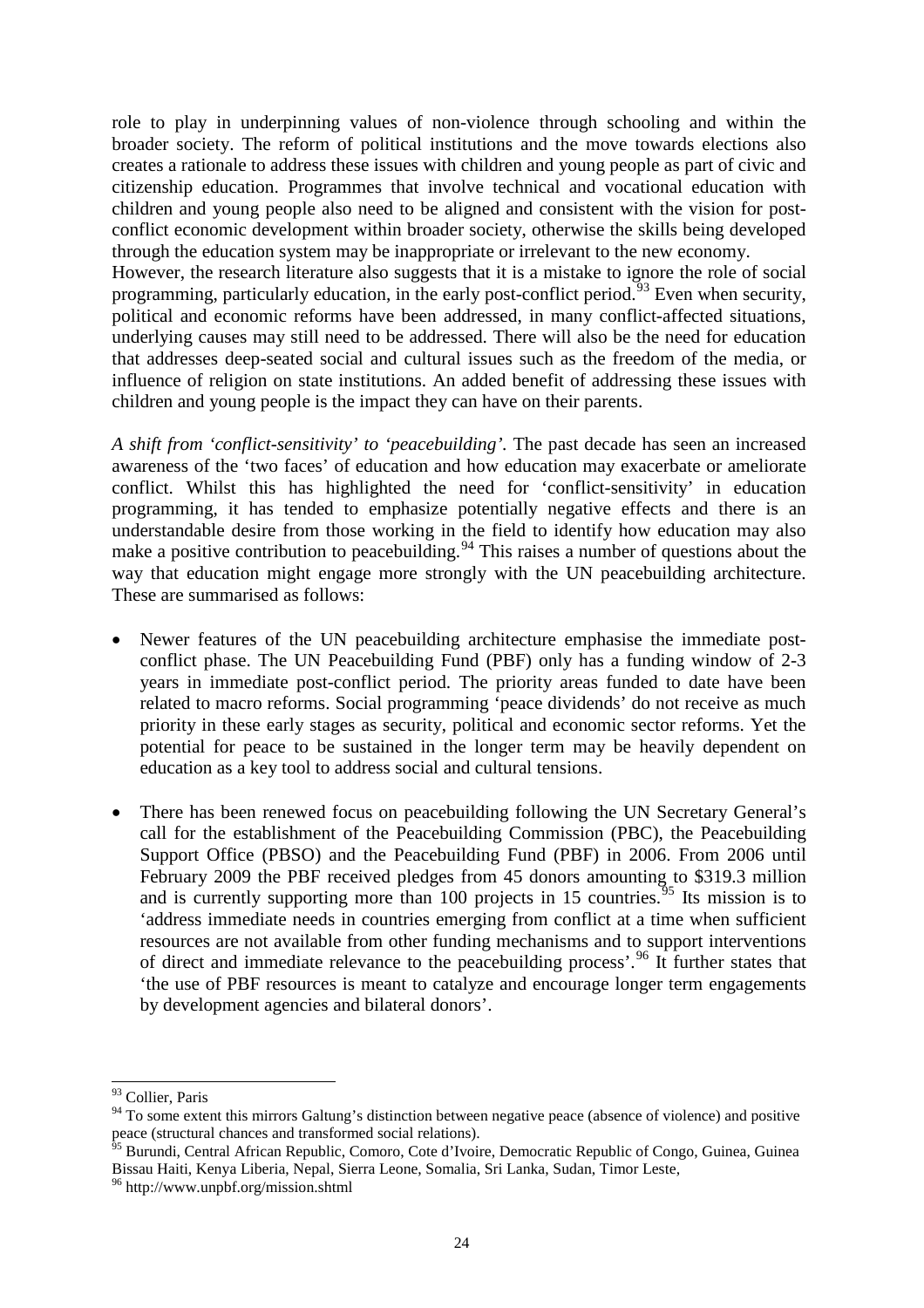role to play in underpinning values of non-violence through schooling and within the broader society. The reform of political institutions and the move towards elections also creates a rationale to address these issues with children and young people as part of civic and citizenship education. Programmes that involve technical and vocational education with children and young people also need to be aligned and consistent with the vision for postconflict economic development within broader society, otherwise the skills being developed through the education system may be inappropriate or irrelevant to the new economy. However, the research literature also suggests that it is a mistake to ignore the role of social programming, particularly education, in the early post-conflict period.<sup>[93](#page-24-0)</sup> Even when security,

political and economic reforms have been addressed, in many conflict-affected situations, underlying causes may still need to be addressed. There will also be the need for education that addresses deep-seated social and cultural issues such as the freedom of the media, or influence of religion on state institutions. An added benefit of addressing these issues with children and young people is the impact they can have on their parents.

*A shift from 'conflict-sensitivity' to 'peacebuilding'.* The past decade has seen an increased awareness of the 'two faces' of education and how education may exacerbate or ameliorate conflict. Whilst this has highlighted the need for 'conflict-sensitivity' in education programming, it has tended to emphasize potentially negative effects and there is an understandable desire from those working in the field to identify how education may also make a positive contribution to peacebuilding.<sup>[94](#page-24-1)</sup> This raises a number of questions about the way that education might engage more strongly with the UN peacebuilding architecture. These are summarised as follows:

- Newer features of the UN peacebuilding architecture emphasise the immediate postconflict phase. The UN Peacebuilding Fund (PBF) only has a funding window of 2-3 years in immediate post-conflict period. The priority areas funded to date have been related to macro reforms. Social programming 'peace dividends' do not receive as much priority in these early stages as security, political and economic sector reforms. Yet the potential for peace to be sustained in the longer term may be heavily dependent on education as a key tool to address social and cultural tensions.
- There has been renewed focus on peacebuilding following the UN Secretary General's call for the establishment of the Peacebuilding Commission (PBC), the Peacebuilding Support Office (PBSO) and the Peacebuilding Fund (PBF) in 2006. From 2006 until February 2009 the PBF received pledges from 45 donors amounting to \$319.3 million and is currently supporting more than 100 projects in 15 countries.<sup>[95](#page-24-2)</sup> Its mission is to 'address immediate needs in countries emerging from conflict at a time when sufficient resources are not available from other funding mechanisms and to support interventions of direct and immediate relevance to the peacebuilding process'.[96](#page-24-3) It further states that 'the use of PBF resources is meant to catalyze and encourage longer term engagements by development agencies and bilateral donors'.

<span id="page-24-0"></span> <sup>93</sup> Collier, Paris

<span id="page-24-1"></span><sup>&</sup>lt;sup>94</sup> To some extent this mirrors Galtung's distinction between negative peace (absence of violence) and positive peace (structural chances and transformed social relations).

<span id="page-24-2"></span><sup>&</sup>lt;sup>95</sup> Burundi, Central African Republic, Comoro, Cote d'Ivoire, Democratic Republic of Congo, Guinea, Guinea Bissau Haiti, Kenya Liberia, Nepal, Sierra Leone, Somalia, Sri Lanka, Sudan, Timor Leste, 96 http://www.unpbf.org/mission.shtml

<span id="page-24-3"></span>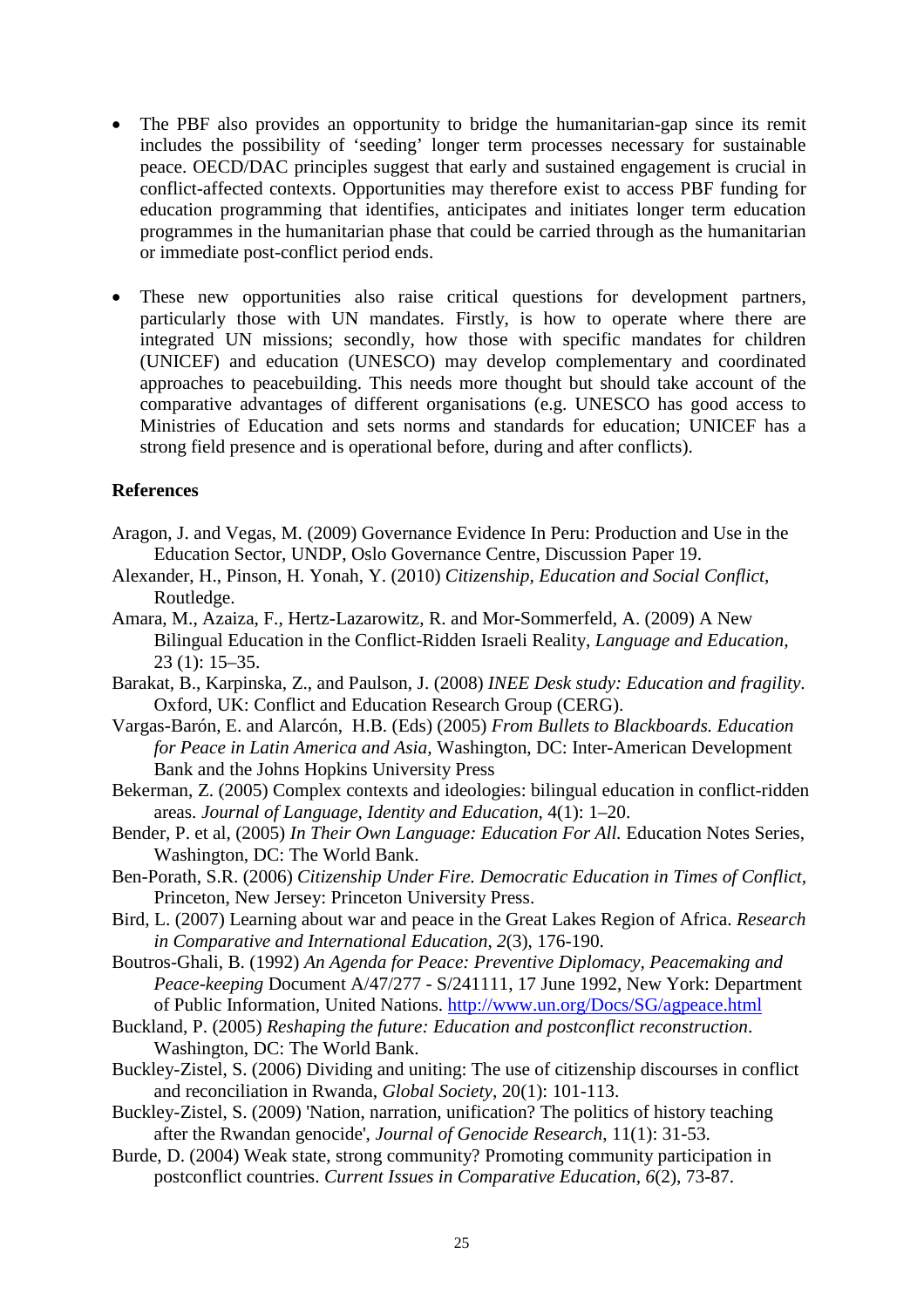- The PBF also provides an opportunity to bridge the humanitarian-gap since its remit includes the possibility of 'seeding' longer term processes necessary for sustainable peace. OECD/DAC principles suggest that early and sustained engagement is crucial in conflict-affected contexts. Opportunities may therefore exist to access PBF funding for education programming that identifies, anticipates and initiates longer term education programmes in the humanitarian phase that could be carried through as the humanitarian or immediate post-conflict period ends.
- These new opportunities also raise critical questions for development partners, particularly those with UN mandates. Firstly, is how to operate where there are integrated UN missions; secondly, how those with specific mandates for children (UNICEF) and education (UNESCO) may develop complementary and coordinated approaches to peacebuilding. This needs more thought but should take account of the comparative advantages of different organisations (e.g. UNESCO has good access to Ministries of Education and sets norms and standards for education; UNICEF has a strong field presence and is operational before, during and after conflicts).

## **References**

- Aragon, J. and Vegas, M. (2009) Governance Evidence In Peru: Production and Use in the Education Sector, UNDP, Oslo Governance Centre, Discussion Paper 19.
- Alexander, H., Pinson, H. Yonah, Y. (2010) *Citizenship, Education and Social Conflict*, Routledge.
- Amara, M., Azaiza, F., Hertz-Lazarowitz, R. and Mor-Sommerfeld, A. (2009) A New Bilingual Education in the Conflict-Ridden Israeli Reality, *Language and Education,*  23 (1): 15–35.
- Barakat, B., Karpinska, Z., and Paulson, J. (2008) *INEE Desk study: Education and fragility*. Oxford, UK: Conflict and Education Research Group (CERG).
- Vargas-Barón, E. and Alarcón, H.B. (Eds) (2005) *From Bullets to Blackboards. Education for Peace in Latin America and Asia,* Washington, DC: Inter-American Development Bank and the Johns Hopkins University Press
- Bekerman, Z. (2005) Complex contexts and ideologies: bilingual education in conflict-ridden areas. *Journal of Language, Identity and Education,* 4(1): 1–20.
- Bender, P. et al, (2005) *In Their Own Language: Education For All.* Education Notes Series, Washington, DC: The World Bank.
- Ben-Porath, S.R. (2006) *Citizenship Under Fire. Democratic Education in Times of Conflict,* Princeton, New Jersey: Princeton University Press.
- Bird, L. (2007) Learning about war and peace in the Great Lakes Region of Africa. *Research in Comparative and International Education*, *2*(3), 176-190.
- Boutros-Ghali, B. (1992) *An Agenda for Peace: Preventive Diplomacy, Peacemaking and Peace-keeping* Document A/47/277 - S/241111, 17 June 1992, New York: Department of Public Information, United Nations.<http://www.un.org/Docs/SG/agpeace.html>
- Buckland, P. (2005) *Reshaping the future: Education and postconflict reconstruction*. Washington, DC: The World Bank.
- Buckley-Zistel, S. (2006) Dividing and uniting: The use of citizenship discourses in conflict and reconciliation in Rwanda, *Global Society*, 20(1): 101-113.
- Buckley-Zistel, S. (2009) 'Nation, narration, unification? The politics of history teaching after the Rwandan genocide', *Journal of Genocide Research*, 11(1): 31-53.
- Burde, D. (2004) Weak state, strong community? Promoting community participation in postconflict countries. *Current Issues in Comparative Education, 6*(2), 73-87.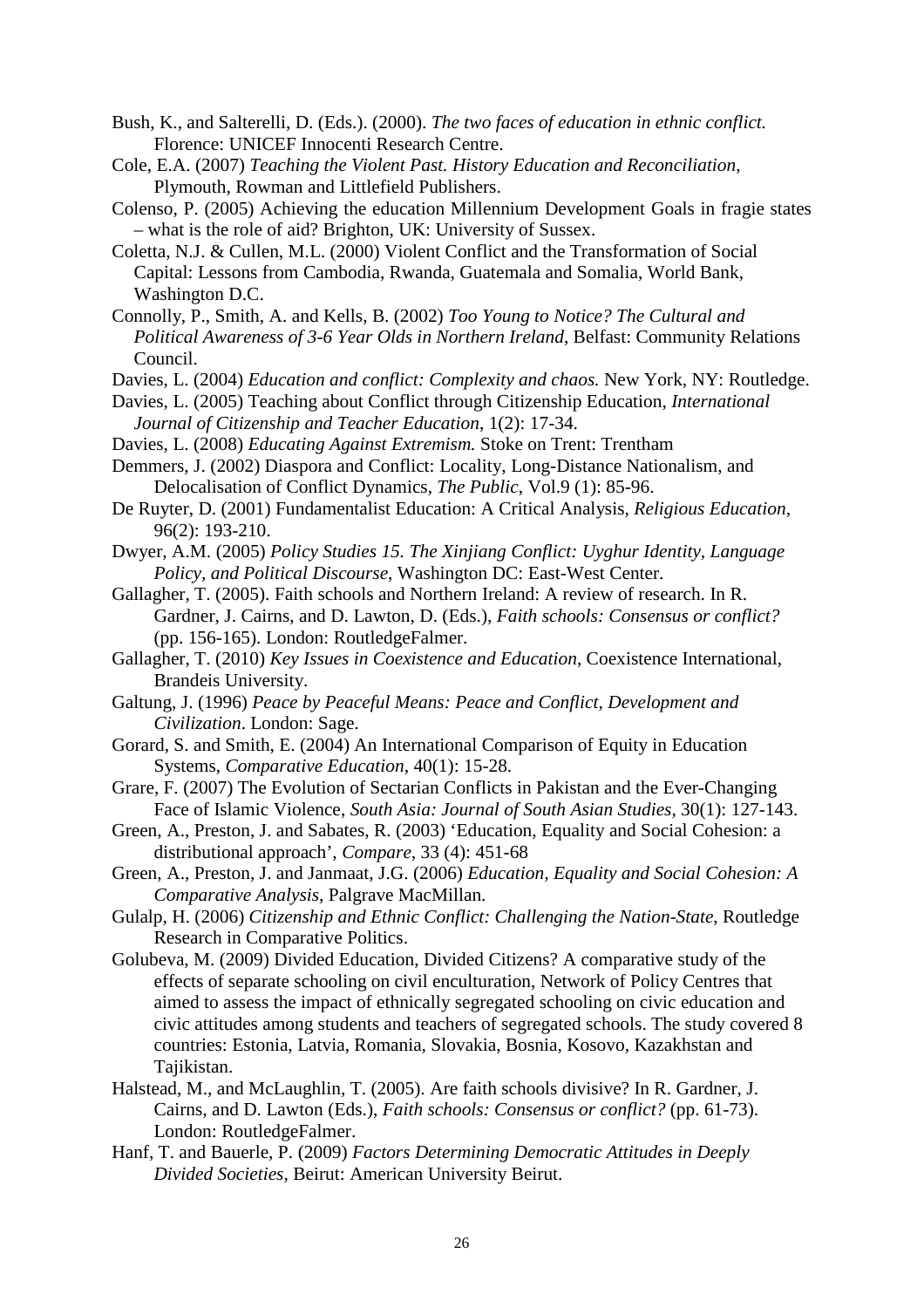- Bush, K., and Salterelli, D. (Eds.). (2000). *The two faces of education in ethnic conflict.*  Florence: UNICEF Innocenti Research Centre.
- Cole, E.A. (2007) *Teaching the Violent Past. History Education and Reconciliation*, Plymouth, Rowman and Littlefield Publishers.
- Colenso, P. (2005) Achieving the education Millennium Development Goals in fragie states – what is the role of aid? Brighton, UK: University of Sussex.
- Coletta, N.J. & Cullen, M.L. (2000) Violent Conflict and the Transformation of Social Capital: Lessons from Cambodia, Rwanda, Guatemala and Somalia, World Bank, Washington D.C.
- Connolly, P., Smith, A. and Kells, B. (2002) *Too Young to Notice? The Cultural and Political Awareness of 3-6 Year Olds in Northern Ireland*, Belfast: Community Relations Council.
- Davies, L. (2004) *Education and conflict: Complexity and chaos.* New York, NY: Routledge.
- Davies, L. (2005) Teaching about Conflict through Citizenship Education, *International Journal of Citizenship and Teacher Education*, 1(2): 17-34.
- Davies, L. (2008) *Educating Against Extremism.* Stoke on Trent: Trentham

Demmers, J. (2002) Diaspora and Conflict: Locality, Long-Distance Nationalism, and Delocalisation of Conflict Dynamics, *The Public*, Vol.9 (1): 85-96.

- De Ruyter, D. (2001) Fundamentalist Education: A Critical Analysis, *Religious Education,*  96(2): 193-210.
- Dwyer, A.M. (2005) *Policy Studies 15. The Xinjiang Conflict: Uyghur Identity, Language Policy, and Political Discourse*, Washington DC: East-West Center.
- Gallagher, T. (2005). Faith schools and Northern Ireland: A review of research. In R. Gardner, J. Cairns, and D. Lawton, D. (Eds.), *Faith schools: Consensus or conflict?* (pp. 156-165). London: RoutledgeFalmer.
- Gallagher, T. (2010) *Key Issues in Coexistence and Education*, Coexistence International, Brandeis University.
- Galtung, J. (1996) *Peace by Peaceful Means: Peace and Conflict, Development and Civilization*. London: Sage.
- Gorard, S. and Smith, E. (2004) An International Comparison of Equity in Education Systems, *Comparative Education*, 40(1): 15-28.
- Grare, F. (2007) The Evolution of Sectarian Conflicts in Pakistan and the Ever-Changing Face of Islamic Violence, *South Asia: Journal of South Asian Studies*, 30(1): 127-143.
- Green, A., Preston, J. and Sabates, R. (2003) 'Education, Equality and Social Cohesion: a distributional approach', *Compare*, 33 (4): 451-68
- Green, A., Preston, J. and Janmaat, J.G. (2006) *Education, Equality and Social Cohesion: A Comparative Analysis*, Palgrave MacMillan.
- Gulalp, H. (2006) *Citizenship and Ethnic Conflict: Challenging the Nation-State*, Routledge Research in Comparative Politics.
- Golubeva, M. (2009) Divided Education, Divided Citizens? A comparative study of the effects of separate schooling on civil enculturation, Network of Policy Centres that aimed to assess the impact of ethnically segregated schooling on civic education and civic attitudes among students and teachers of segregated schools. The study covered 8 countries: Estonia, Latvia, Romania, Slovakia, Bosnia, Kosovo, Kazakhstan and Tajikistan.
- Halstead, M., and McLaughlin, T. (2005). Are faith schools divisive? In R. Gardner, J. Cairns, and D. Lawton (Eds.), *Faith schools: Consensus or conflict?* (pp. 61-73). London: RoutledgeFalmer.
- Hanf, T. and Bauerle, P. (2009) *Factors Determining Democratic Attitudes in Deeply Divided Societies*, Beirut: American University Beirut.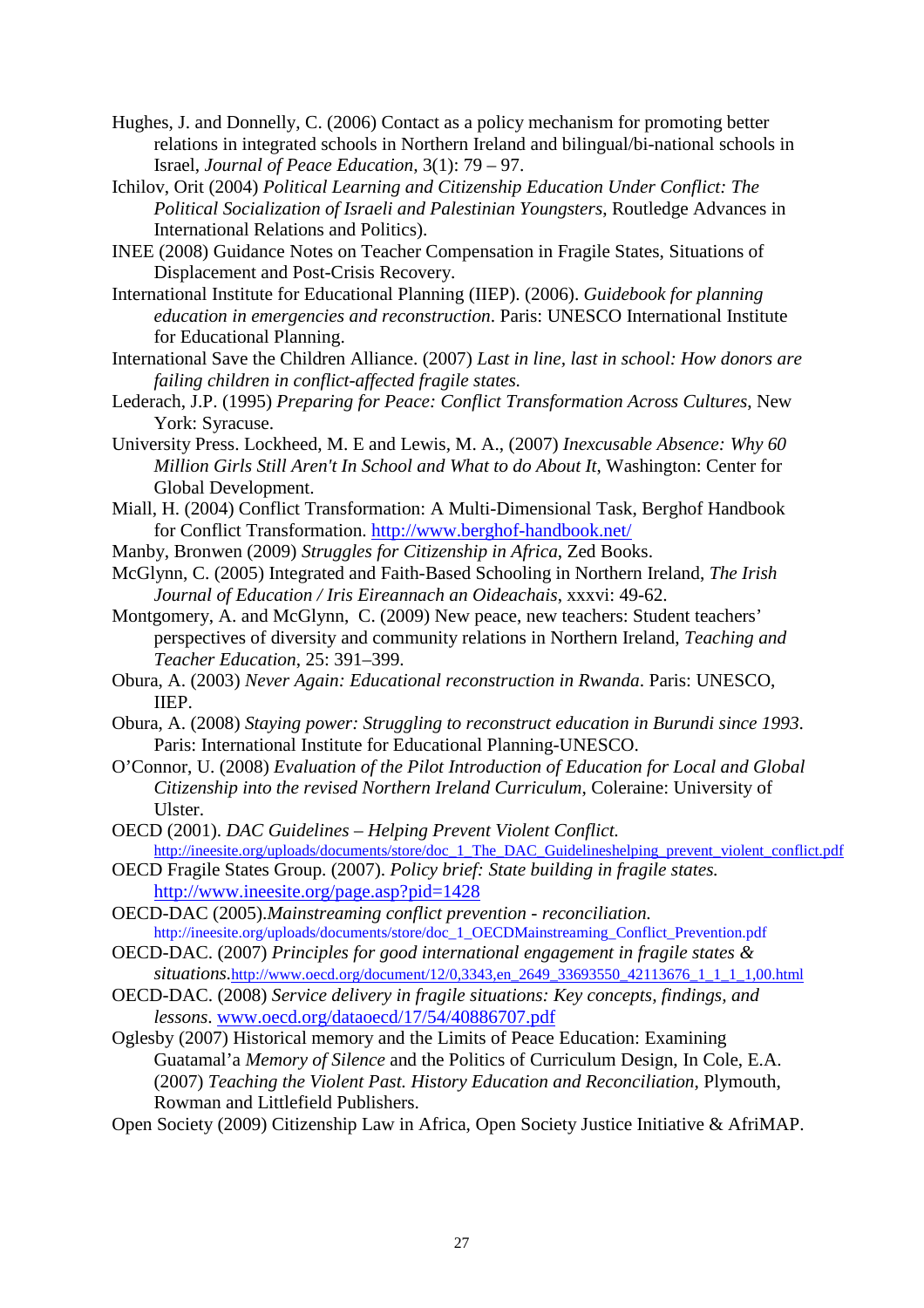- Hughes, J. and Donnelly, C. (2006) Contact as a policy mechanism for promoting better relations in integrated schools in Northern Ireland and bilingual/bi-national schools in Israel, *Journal of Peace Education,* 3(1): 79 – 97.
- Ichilov, Orit (2004) *Political Learning and Citizenship Education Under Conflict: The Political Socialization of Israeli and Palestinian Youngsters*, Routledge Advances in International Relations and Politics).
- INEE (2008) Guidance Notes on Teacher Compensation in Fragile States, Situations of Displacement and Post-Crisis Recovery.
- International Institute for Educational Planning (IIEP). (2006). *Guidebook for planning education in emergencies and reconstruction*. Paris: UNESCO International Institute for Educational Planning.
- International Save the Children Alliance. (2007) *Last in line, last in school: How donors are failing children in conflict-affected fragile states.*
- Lederach, J.P. (1995) *Preparing for Peace: Conflict Transformation Across Cultures*, New York: Syracuse.
- University Press. Lockheed, M. E and Lewis, M. A., (2007) *Inexcusable Absence: Why 60 Million Girls Still Aren't In School and What to do About It*, Washington: Center for Global Development.
- Miall, H. (2004) Conflict Transformation: A Multi-Dimensional Task, Berghof Handbook for Conflict Transformation.<http://www.berghof-handbook.net/>
- Manby, Bronwen (2009) *Struggles for Citizenship in Africa*, Zed Books.
- McGlynn, C. (2005) Integrated and Faith-Based Schooling in Northern Ireland, *[The Irish](http://www.jstor.org/action/showPublication?journalCode=irisjeduc)  [Journal of Education / Iris Eireannach an Oideachais](http://www.jstor.org/action/showPublication?journalCode=irisjeduc)*, xxxvi: 49-62.
- Montgomery, A. and McGlynn, C. (2009) New peace, new teachers: Student teachers' perspectives of diversity and community relations in Northern Ireland, *Teaching and Teacher Education*, 25: 391–399.
- Obura, A. (2003) *Never Again: Educational reconstruction in Rwanda*. Paris: UNESCO, IIEP.
- Obura, A. (2008) *Staying power: Struggling to reconstruct education in Burundi since 1993*. Paris: International Institute for Educational Planning-UNESCO.
- O'Connor, U. (2008) *Evaluation of the Pilot Introduction of Education for Local and Global Citizenship into the revised Northern Ireland Curriculum*, Coleraine: University of Ulster.
- OECD (2001). *DAC Guidelines – Helping Prevent Violent Conflict.*  http://ineesite.org/uploads/documents/store/doc\_1\_The\_DAC\_Guidelineshelping\_prevent\_violent\_conflict.pdf
- OECD Fragile States Group. (2007). *Policy brief: State building in fragile states.* <http://www.ineesite.org/page.asp?pid=1428>
- OECD-DAC (2005).*Mainstreaming conflict prevention - reconciliation.*  http://ineesite.org/uploads/documents/store/doc\_1\_OECDMainstreaming\_Conflict\_Prevention.pdf
- OECD-DAC. (2007) *Principles for good international engagement in fragile states & situations.*[http://www.oecd.org/document/12/0,3343,en\\_2649\\_33693550\\_42113676\\_1\\_1\\_1\\_1,00.html](http://www.oecd.org/document/12/0,3343,en_2649_33693550_42113676_1_1_1_1,00.html)
- OECD-DAC. (2008) *Service delivery in fragile situations: Key concepts, findings, and lessons*. [www.oecd.org/dataoecd/17/54/40886707.pdf](http://www.oecd.org/dataoecd/17/54/40886707.pdf)
- Oglesby (2007) Historical memory and the Limits of Peace Education: Examining Guatamal'a *Memory of Silence* and the Politics of Curriculum Design, In Cole, E.A. (2007) *Teaching the Violent Past. History Education and Reconciliation*, Plymouth, Rowman and Littlefield Publishers.

Open Society (2009) Citizenship Law in Africa, Open Society Justice Initiative & AfriMAP.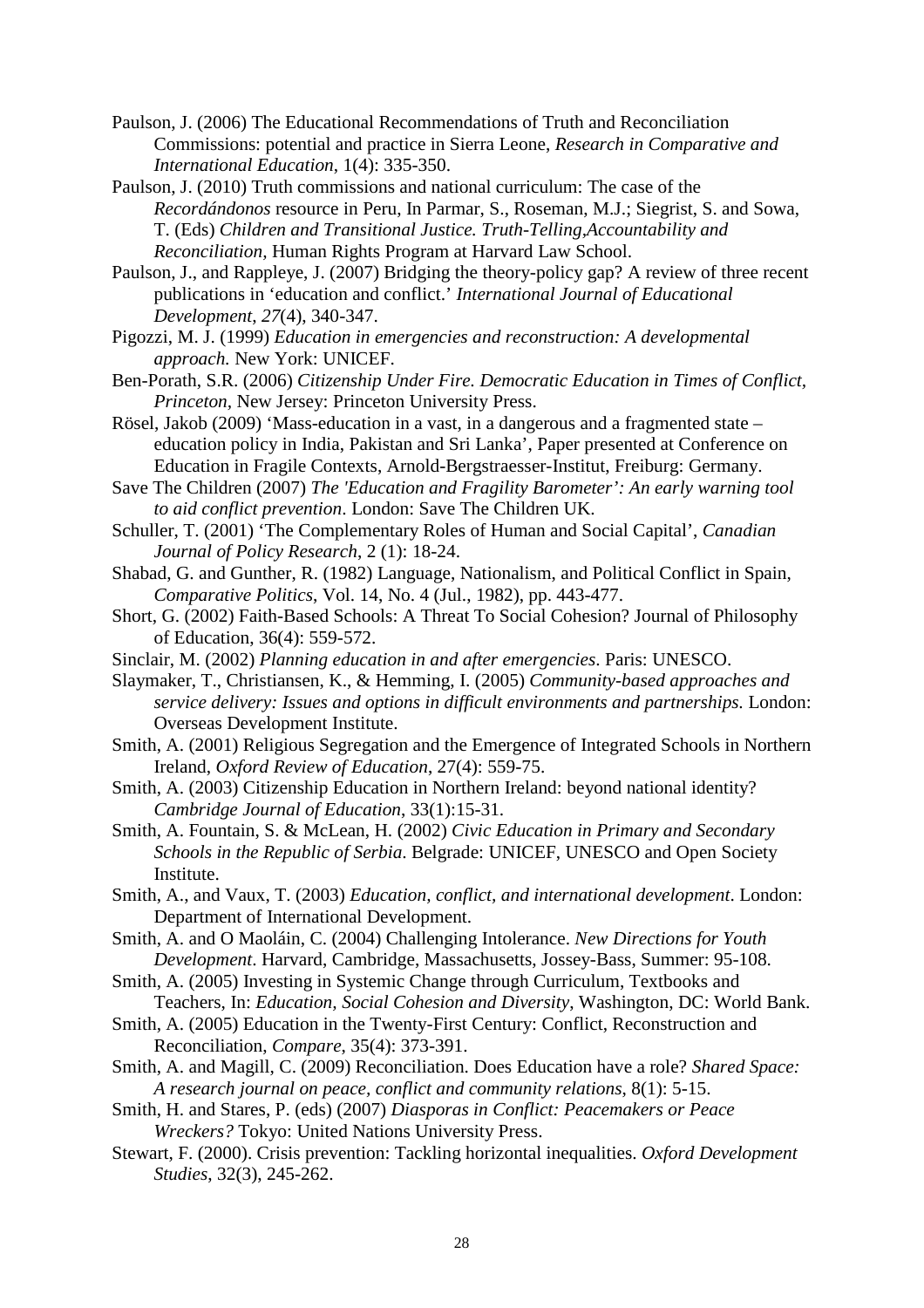- Paulson, J. (2006) The Educational Recommendations of Truth and Reconciliation Commissions: potential and practice in Sierra Leone, *Research in Comparative and International Education*, 1(4): 335-350.
- Paulson, J. (2010) Truth commissions and national curriculum: The case of the *Recordándonos* resource in Peru, In Parmar, S., Roseman, M.J.; Siegrist, S. and Sowa, T. (Eds) *Children and Transitional Justice. Truth-Telling,Accountability and Reconciliation,* Human Rights Program at Harvard Law School.
- Paulson, J., and Rappleye, J. (2007) Bridging the theory-policy gap? A review of three recent publications in 'education and conflict.' *International Journal of Educational Development*, *27*(4), 340-347.
- Pigozzi, M. J. (1999) *Education in emergencies and reconstruction: A developmental approach.* New York: UNICEF.
- Ben-Porath, S.R. (2006) *Citizenship Under Fire. Democratic Education in Times of Conflict, Princeton,* New Jersey: Princeton University Press.
- Rösel, Jakob (2009) 'Mass-education in a vast, in a dangerous and a fragmented state education policy in India, Pakistan and Sri Lanka', Paper presented at Conference on Education in Fragile Contexts, Arnold-Bergstraesser-Institut, Freiburg: Germany.
- Save The Children (2007) *The 'Education and Fragility Barometer': An early warning tool to aid conflict prevention*. London: Save The Children UK.
- Schuller, T. (2001) 'The Complementary Roles of Human and Social Capital', *Canadian Journal of Policy Research*, 2 (1): 18-24.
- Shabad, G. and Gunther, R. (1982) Language, Nationalism, and Political Conflict in Spain, *Comparative Politics*, Vol. 14, No. 4 (Jul., 1982), pp. 443-477.
- Short, G. (2002) Faith-Based Schools: A Threat To Social Cohesion? Journal of Philosophy of Education, 36(4): 559-572.
- Sinclair, M. (2002) *Planning education in and after emergencies*. Paris: UNESCO.
- Slaymaker, T., Christiansen, K., & Hemming, I. (2005) *Community-based approaches and service delivery: Issues and options in difficult environments and partnerships.* London: Overseas Development Institute.
- Smith, A. (2001) Religious Segregation and the Emergence of Integrated Schools in Northern Ireland, *Oxford Review of Education*, 27(4): 559-75.
- Smith, A. (2003) Citizenship Education in Northern Ireland: beyond national identity? *Cambridge Journal of Education*, 33(1):15-31.
- Smith, A. Fountain, S. & McLean, H. (2002) *Civic Education in Primary and Secondary Schools in the Republic of Serbia*. Belgrade: UNICEF, UNESCO and Open Society Institute.
- Smith, A., and Vaux, T. (2003) *Education, conflict, and international development*. London: Department of International Development.
- Smith, A. and O Maoláin, C. (2004) Challenging Intolerance. *New Directions for Youth Development*. Harvard, Cambridge, Massachusetts, Jossey-Bass, Summer: 95-108.
- Smith, A. (2005) Investing in Systemic Change through Curriculum, Textbooks and Teachers, In: *Education, Social Cohesion and Diversity*, Washington, DC: World Bank.
- Smith, A. (2005) Education in the Twenty-First Century: Conflict, Reconstruction and Reconciliation, *Compare*, 35(4): 373-391.
- Smith, A. and Magill, C. (2009) Reconciliation. Does Education have a role? *Shared Space: A research journal on peace, conflict and community relations*, 8(1): 5-15.
- Smith, H. and Stares, P. (eds) (2007) *Diasporas in Conflict: Peacemakers or Peace Wreckers?* Tokyo: United Nations University Press.
- Stewart, F. (2000). Crisis prevention: Tackling horizontal inequalities. *Oxford Development Studies*, 32(3), 245-262.